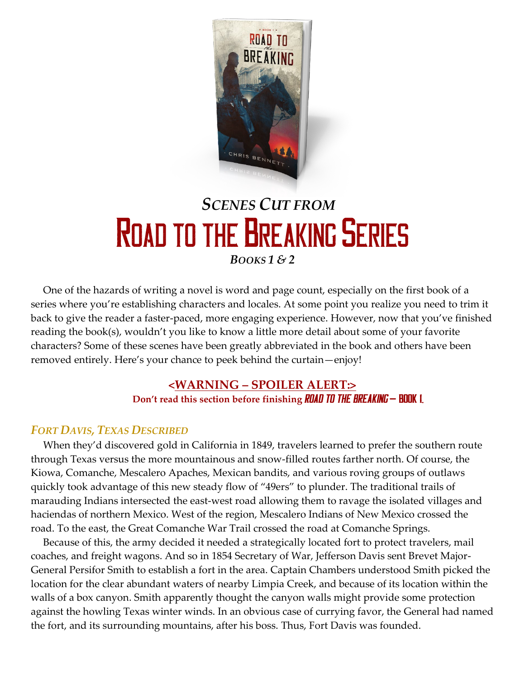

# *SCENES CUT FROM* **ROAD TO THE BREAKING SERIES** *BOOKS 1 & 2*

One of the hazards of writing a novel is word and page count, especially on the first book of a series where you're establishing characters and locales. At some point you realize you need to trim it back to give the reader a faster-paced, more engaging experience. However, now that you've finished reading the book(s), wouldn't you like to know a little more detail about some of your favorite characters? Some of these scenes have been greatly abbreviated in the book and others have been removed entirely. Here's your chance to peek behind the curtain—enjoy!

# **<WARNING – SPOILER ALERT:> Don't read this section before finishing <b>ROAD TO THE BREAKING – BOOK** 1.

# *FORT DAVIS, TEXAS DESCRIBED*

When they'd discovered gold in California in 1849, travelers learned to prefer the southern route through Texas versus the more mountainous and snow-filled routes farther north. Of course, the Kiowa, Comanche, Mescalero Apaches, Mexican bandits, and various roving groups of outlaws quickly took advantage of this new steady flow of "49ers" to plunder. The traditional trails of marauding Indians intersected the east-west road allowing them to ravage the isolated villages and haciendas of northern Mexico. West of the region, Mescalero Indians of New Mexico crossed the road. To the east, the Great Comanche War Trail crossed the road at Comanche Springs.

Because of this, the army decided it needed a strategically located fort to protect travelers, mail coaches, and freight wagons. And so in 1854 Secretary of War, Jefferson Davis sent Brevet Major-General Persifor Smith to establish a fort in the area. Captain Chambers understood Smith picked the location for the clear abundant waters of nearby Limpia Creek, and because of its location within the walls of a box canyon. Smith apparently thought the canyon walls might provide some protection against the howling Texas winter winds. In an obvious case of currying favor, the General had named the fort, and its surrounding mountains, after his boss. Thus, Fort Davis was founded.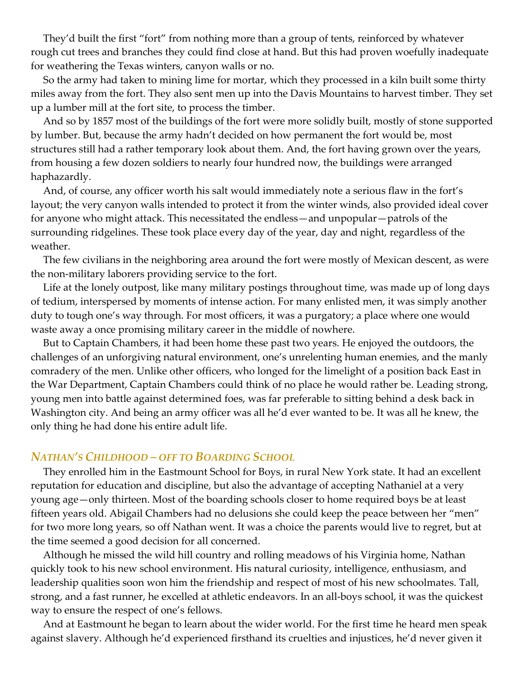They'd built the first "fort" from nothing more than a group of tents, reinforced by whatever rough cut trees and branches they could find close at hand. But this had proven woefully inadequate for weathering the Texas winters, canyon walls or no.

So the army had taken to mining lime for mortar, which they processed in a kiln built some thirty miles away from the fort. They also sent men up into the Davis Mountains to harvest timber. They set up a lumber mill at the fort site, to process the timber.

And so by 1857 most of the buildings of the fort were more solidly built, mostly of stone supported by lumber. But, because the army hadn't decided on how permanent the fort would be, most structures still had a rather temporary look about them. And, the fort having grown over the years, from housing a few dozen soldiers to nearly four hundred now, the buildings were arranged haphazardly.

And, of course, any officer worth his salt would immediately note a serious flaw in the fort's layout; the very canyon walls intended to protect it from the winter winds, also provided ideal cover for anyone who might attack. This necessitated the endless—and unpopular—patrols of the surrounding ridgelines. These took place every day of the year, day and night, regardless of the weather.

The few civilians in the neighboring area around the fort were mostly of Mexican descent, as were the non-military laborers providing service to the fort.

Life at the lonely outpost, like many military postings throughout time, was made up of long days of tedium, interspersed by moments of intense action. For many enlisted men, it was simply another duty to tough one's way through. For most officers, it was a purgatory; a place where one would waste away a once promising military career in the middle of nowhere.

But to Captain Chambers, it had been home these past two years. He enjoyed the outdoors, the challenges of an unforgiving natural environment, one's unrelenting human enemies, and the manly comradery of the men. Unlike other officers, who longed for the limelight of a position back East in the War Department, Captain Chambers could think of no place he would rather be. Leading strong, young men into battle against determined foes, was far preferable to sitting behind a desk back in Washington city. And being an army officer was all he'd ever wanted to be. It was all he knew, the only thing he had done his entire adult life.

#### *NATHAN'S CHILDHOOD – OFF TO BOARDING SCHOOL*

They enrolled him in the Eastmount School for Boys, in rural New York state. It had an excellent reputation for education and discipline, but also the advantage of accepting Nathaniel at a very young age—only thirteen. Most of the boarding schools closer to home required boys be at least fifteen years old. Abigail Chambers had no delusions she could keep the peace between her "men" for two more long years, so off Nathan went. It was a choice the parents would live to regret, but at the time seemed a good decision for all concerned.

Although he missed the wild hill country and rolling meadows of his Virginia home, Nathan quickly took to his new school environment. His natural curiosity, intelligence, enthusiasm, and leadership qualities soon won him the friendship and respect of most of his new schoolmates. Tall, strong, and a fast runner, he excelled at athletic endeavors. In an all-boys school, it was the quickest way to ensure the respect of one's fellows.

And at Eastmount he began to learn about the wider world. For the first time he heard men speak against slavery. Although he'd experienced firsthand its cruelties and injustices, he'd never given it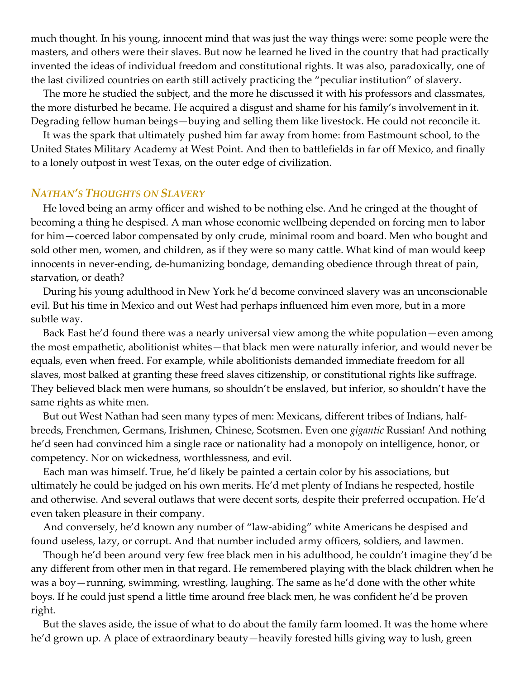much thought. In his young, innocent mind that was just the way things were: some people were the masters, and others were their slaves. But now he learned he lived in the country that had practically invented the ideas of individual freedom and constitutional rights. It was also, paradoxically, one of the last civilized countries on earth still actively practicing the "peculiar institution" of slavery.

The more he studied the subject, and the more he discussed it with his professors and classmates, the more disturbed he became. He acquired a disgust and shame for his family's involvement in it. Degrading fellow human beings—buying and selling them like livestock. He could not reconcile it.

It was the spark that ultimately pushed him far away from home: from Eastmount school, to the United States Military Academy at West Point. And then to battlefields in far off Mexico, and finally to a lonely outpost in west Texas, on the outer edge of civilization.

### *NATHAN'S THOUGHTS ON SLAVERY*

He loved being an army officer and wished to be nothing else. And he cringed at the thought of becoming a thing he despised. A man whose economic wellbeing depended on forcing men to labor for him—coerced labor compensated by only crude, minimal room and board. Men who bought and sold other men, women, and children, as if they were so many cattle. What kind of man would keep innocents in never-ending, de-humanizing bondage, demanding obedience through threat of pain, starvation, or death?

During his young adulthood in New York he'd become convinced slavery was an unconscionable evil. But his time in Mexico and out West had perhaps influenced him even more, but in a more subtle way.

Back East he'd found there was a nearly universal view among the white population—even among the most empathetic, abolitionist whites—that black men were naturally inferior, and would never be equals, even when freed. For example, while abolitionists demanded immediate freedom for all slaves, most balked at granting these freed slaves citizenship, or constitutional rights like suffrage. They believed black men were humans, so shouldn't be enslaved, but inferior, so shouldn't have the same rights as white men.

But out West Nathan had seen many types of men: Mexicans, different tribes of Indians, halfbreeds, Frenchmen, Germans, Irishmen, Chinese, Scotsmen. Even one *gigantic* Russian! And nothing he'd seen had convinced him a single race or nationality had a monopoly on intelligence, honor, or competency. Nor on wickedness, worthlessness, and evil.

Each man was himself. True, he'd likely be painted a certain color by his associations, but ultimately he could be judged on his own merits. He'd met plenty of Indians he respected, hostile and otherwise. And several outlaws that were decent sorts, despite their preferred occupation. He'd even taken pleasure in their company.

And conversely, he'd known any number of "law-abiding" white Americans he despised and found useless, lazy, or corrupt. And that number included army officers, soldiers, and lawmen.

Though he'd been around very few free black men in his adulthood, he couldn't imagine they'd be any different from other men in that regard. He remembered playing with the black children when he was a boy—running, swimming, wrestling, laughing. The same as he'd done with the other white boys. If he could just spend a little time around free black men, he was confident he'd be proven right.

But the slaves aside, the issue of what to do about the family farm loomed. It was the home where he'd grown up. A place of extraordinary beauty—heavily forested hills giving way to lush, green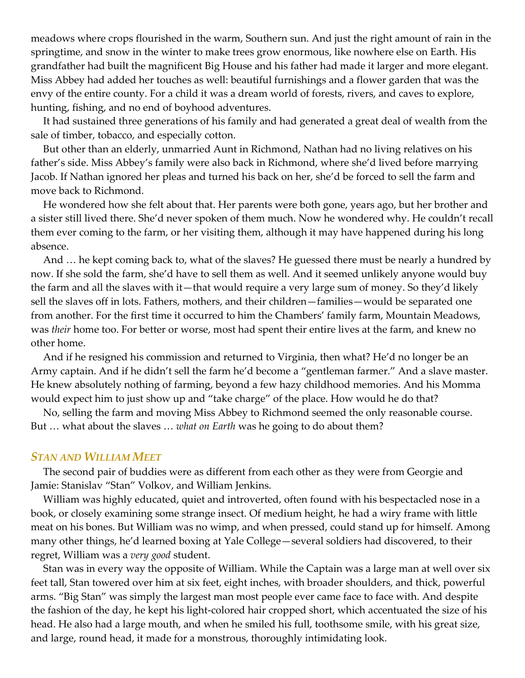meadows where crops flourished in the warm, Southern sun. And just the right amount of rain in the springtime, and snow in the winter to make trees grow enormous, like nowhere else on Earth. His grandfather had built the magnificent Big House and his father had made it larger and more elegant. Miss Abbey had added her touches as well: beautiful furnishings and a flower garden that was the envy of the entire county. For a child it was a dream world of forests, rivers, and caves to explore, hunting, fishing, and no end of boyhood adventures.

It had sustained three generations of his family and had generated a great deal of wealth from the sale of timber, tobacco, and especially cotton.

But other than an elderly, unmarried Aunt in Richmond, Nathan had no living relatives on his father's side. Miss Abbey's family were also back in Richmond, where she'd lived before marrying Jacob. If Nathan ignored her pleas and turned his back on her, she'd be forced to sell the farm and move back to Richmond.

He wondered how she felt about that. Her parents were both gone, years ago, but her brother and a sister still lived there. She'd never spoken of them much. Now he wondered why. He couldn't recall them ever coming to the farm, or her visiting them, although it may have happened during his long absence.

And … he kept coming back to, what of the slaves? He guessed there must be nearly a hundred by now. If she sold the farm, she'd have to sell them as well. And it seemed unlikely anyone would buy the farm and all the slaves with it—that would require a very large sum of money. So they'd likely sell the slaves off in lots. Fathers, mothers, and their children—families—would be separated one from another. For the first time it occurred to him the Chambers' family farm, Mountain Meadows, was *their* home too. For better or worse, most had spent their entire lives at the farm, and knew no other home.

And if he resigned his commission and returned to Virginia, then what? He'd no longer be an Army captain. And if he didn't sell the farm he'd become a "gentleman farmer." And a slave master. He knew absolutely nothing of farming, beyond a few hazy childhood memories. And his Momma would expect him to just show up and "take charge" of the place. How would he do that?

No, selling the farm and moving Miss Abbey to Richmond seemed the only reasonable course. But … what about the slaves … *what on Earth* was he going to do about them?

#### *STAN AND WILLIAM MEET*

The second pair of buddies were as different from each other as they were from Georgie and Jamie: Stanislav "Stan" Volkov, and William Jenkins.

William was highly educated, quiet and introverted, often found with his bespectacled nose in a book, or closely examining some strange insect. Of medium height, he had a wiry frame with little meat on his bones. But William was no wimp, and when pressed, could stand up for himself. Among many other things, he'd learned boxing at Yale College—several soldiers had discovered, to their regret, William was a *very good* student.

Stan was in every way the opposite of William. While the Captain was a large man at well over six feet tall, Stan towered over him at six feet, eight inches, with broader shoulders, and thick, powerful arms. "Big Stan" was simply the largest man most people ever came face to face with. And despite the fashion of the day, he kept his light-colored hair cropped short, which accentuated the size of his head. He also had a large mouth, and when he smiled his full, toothsome smile, with his great size, and large, round head, it made for a monstrous, thoroughly intimidating look.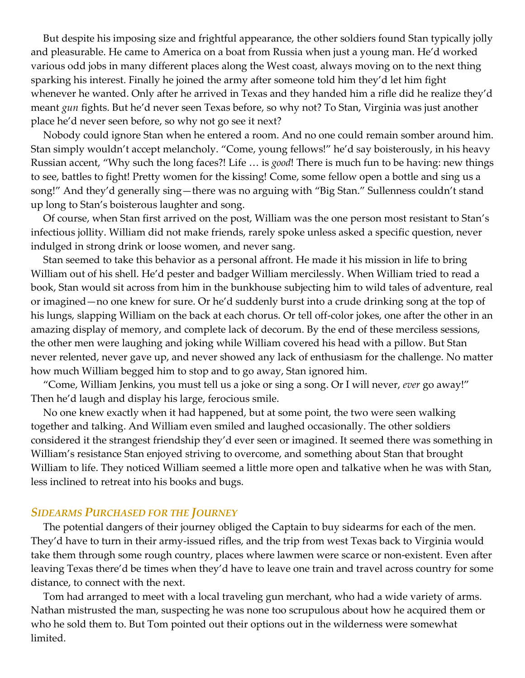But despite his imposing size and frightful appearance, the other soldiers found Stan typically jolly and pleasurable. He came to America on a boat from Russia when just a young man. He'd worked various odd jobs in many different places along the West coast, always moving on to the next thing sparking his interest. Finally he joined the army after someone told him they'd let him fight whenever he wanted. Only after he arrived in Texas and they handed him a rifle did he realize they'd meant *gun* fights. But he'd never seen Texas before, so why not? To Stan, Virginia was just another place he'd never seen before, so why not go see it next?

Nobody could ignore Stan when he entered a room. And no one could remain somber around him. Stan simply wouldn't accept melancholy. "Come, young fellows!" he'd say boisterously, in his heavy Russian accent, "Why such the long faces?! Life … is *good*! There is much fun to be having: new things to see, battles to fight! Pretty women for the kissing! Come, some fellow open a bottle and sing us a song!" And they'd generally sing—there was no arguing with "Big Stan." Sullenness couldn't stand up long to Stan's boisterous laughter and song.

Of course, when Stan first arrived on the post, William was the one person most resistant to Stan's infectious jollity. William did not make friends, rarely spoke unless asked a specific question, never indulged in strong drink or loose women, and never sang.

Stan seemed to take this behavior as a personal affront. He made it his mission in life to bring William out of his shell. He'd pester and badger William mercilessly. When William tried to read a book, Stan would sit across from him in the bunkhouse subjecting him to wild tales of adventure, real or imagined—no one knew for sure. Or he'd suddenly burst into a crude drinking song at the top of his lungs, slapping William on the back at each chorus. Or tell off-color jokes, one after the other in an amazing display of memory, and complete lack of decorum. By the end of these merciless sessions, the other men were laughing and joking while William covered his head with a pillow. But Stan never relented, never gave up, and never showed any lack of enthusiasm for the challenge. No matter how much William begged him to stop and to go away, Stan ignored him.

"Come, William Jenkins, you must tell us a joke or sing a song. Or I will never, *ever* go away!" Then he'd laugh and display his large, ferocious smile.

No one knew exactly when it had happened, but at some point, the two were seen walking together and talking. And William even smiled and laughed occasionally. The other soldiers considered it the strangest friendship they'd ever seen or imagined. It seemed there was something in William's resistance Stan enjoyed striving to overcome, and something about Stan that brought William to life. They noticed William seemed a little more open and talkative when he was with Stan, less inclined to retreat into his books and bugs.

#### *SIDEARMS PURCHASED FOR THE JOURNEY*

The potential dangers of their journey obliged the Captain to buy sidearms for each of the men. They'd have to turn in their army-issued rifles, and the trip from west Texas back to Virginia would take them through some rough country, places where lawmen were scarce or non-existent. Even after leaving Texas there'd be times when they'd have to leave one train and travel across country for some distance, to connect with the next.

Tom had arranged to meet with a local traveling gun merchant, who had a wide variety of arms. Nathan mistrusted the man, suspecting he was none too scrupulous about how he acquired them or who he sold them to. But Tom pointed out their options out in the wilderness were somewhat limited.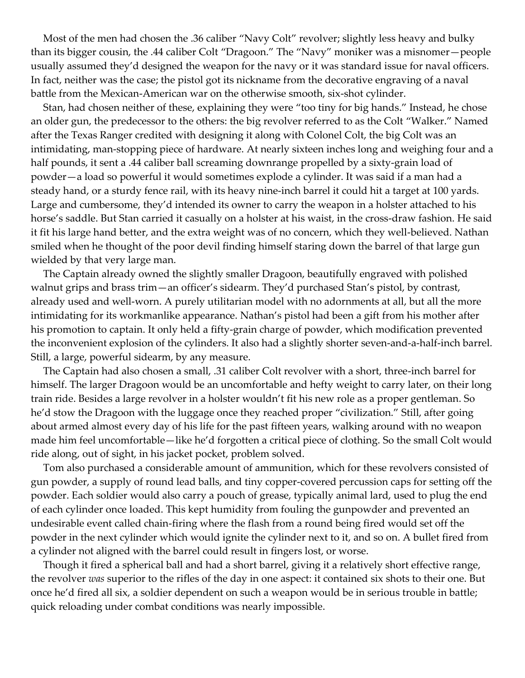Most of the men had chosen the .36 caliber "Navy Colt" revolver; slightly less heavy and bulky than its bigger cousin, the .44 caliber Colt "Dragoon." The "Navy" moniker was a misnomer—people usually assumed they'd designed the weapon for the navy or it was standard issue for naval officers. In fact, neither was the case; the pistol got its nickname from the decorative engraving of a naval battle from the Mexican-American war on the otherwise smooth, six-shot cylinder.

Stan, had chosen neither of these, explaining they were "too tiny for big hands." Instead, he chose an older gun, the predecessor to the others: the big revolver referred to as the Colt "Walker." Named after the Texas Ranger credited with designing it along with Colonel Colt, the big Colt was an intimidating, man-stopping piece of hardware. At nearly sixteen inches long and weighing four and a half pounds, it sent a .44 caliber ball screaming downrange propelled by a sixty-grain load of powder—a load so powerful it would sometimes explode a cylinder. It was said if a man had a steady hand, or a sturdy fence rail, with its heavy nine-inch barrel it could hit a target at 100 yards. Large and cumbersome, they'd intended its owner to carry the weapon in a holster attached to his horse's saddle. But Stan carried it casually on a holster at his waist, in the cross-draw fashion. He said it fit his large hand better, and the extra weight was of no concern, which they well-believed. Nathan smiled when he thought of the poor devil finding himself staring down the barrel of that large gun wielded by that very large man.

The Captain already owned the slightly smaller Dragoon, beautifully engraved with polished walnut grips and brass trim—an officer's sidearm. They'd purchased Stan's pistol, by contrast, already used and well-worn. A purely utilitarian model with no adornments at all, but all the more intimidating for its workmanlike appearance. Nathan's pistol had been a gift from his mother after his promotion to captain. It only held a fifty-grain charge of powder, which modification prevented the inconvenient explosion of the cylinders. It also had a slightly shorter seven-and-a-half-inch barrel. Still, a large, powerful sidearm, by any measure.

The Captain had also chosen a small, .31 caliber Colt revolver with a short, three-inch barrel for himself. The larger Dragoon would be an uncomfortable and hefty weight to carry later, on their long train ride. Besides a large revolver in a holster wouldn't fit his new role as a proper gentleman. So he'd stow the Dragoon with the luggage once they reached proper "civilization." Still, after going about armed almost every day of his life for the past fifteen years, walking around with no weapon made him feel uncomfortable—like he'd forgotten a critical piece of clothing. So the small Colt would ride along, out of sight, in his jacket pocket, problem solved.

Tom also purchased a considerable amount of ammunition, which for these revolvers consisted of gun powder, a supply of round lead balls, and tiny copper-covered percussion caps for setting off the powder. Each soldier would also carry a pouch of grease, typically animal lard, used to plug the end of each cylinder once loaded. This kept humidity from fouling the gunpowder and prevented an undesirable event called chain-firing where the flash from a round being fired would set off the powder in the next cylinder which would ignite the cylinder next to it, and so on. A bullet fired from a cylinder not aligned with the barrel could result in fingers lost, or worse.

Though it fired a spherical ball and had a short barrel, giving it a relatively short effective range, the revolver *was* superior to the rifles of the day in one aspect: it contained six shots to their one. But once he'd fired all six, a soldier dependent on such a weapon would be in serious trouble in battle; quick reloading under combat conditions was nearly impossible.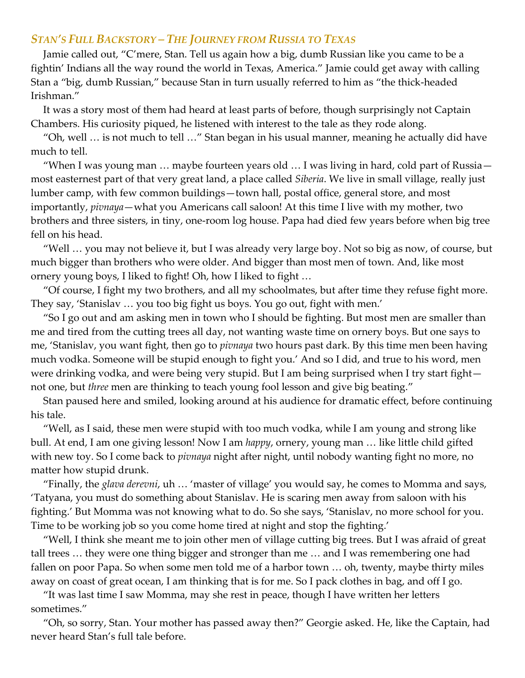# *STAN'S FULL BACKSTORY – THE JOURNEY FROM RUSSIA TO TEXAS*

Jamie called out, "C'mere, Stan. Tell us again how a big, dumb Russian like you came to be a fightin' Indians all the way round the world in Texas, America." Jamie could get away with calling Stan a "big, dumb Russian," because Stan in turn usually referred to him as "the thick-headed Irishman."

It was a story most of them had heard at least parts of before, though surprisingly not Captain Chambers. His curiosity piqued, he listened with interest to the tale as they rode along.

"Oh, well … is not much to tell …" Stan began in his usual manner, meaning he actually did have much to tell.

"When I was young man … maybe fourteen years old … I was living in hard, cold part of Russia most easternest part of that very great land, a place called *Siberia*. We live in small village, really just lumber camp, with few common buildings—town hall, postal office, general store, and most importantly, *pivnaya*—what you Americans call saloon! At this time I live with my mother, two brothers and three sisters, in tiny, one-room log house. Papa had died few years before when big tree fell on his head.

"Well … you may not believe it, but I was already very large boy. Not so big as now, of course, but much bigger than brothers who were older. And bigger than most men of town. And, like most ornery young boys, I liked to fight! Oh, how I liked to fight …

"Of course, I fight my two brothers, and all my schoolmates, but after time they refuse fight more. They say, 'Stanislav … you too big fight us boys. You go out, fight with men.'

"So I go out and am asking men in town who I should be fighting. But most men are smaller than me and tired from the cutting trees all day, not wanting waste time on ornery boys. But one says to me, 'Stanislav, you want fight, then go to *pivnaya* two hours past dark. By this time men been having much vodka. Someone will be stupid enough to fight you.' And so I did, and true to his word, men were drinking vodka, and were being very stupid. But I am being surprised when I try start fight not one, but *three* men are thinking to teach young fool lesson and give big beating."

Stan paused here and smiled, looking around at his audience for dramatic effect, before continuing his tale.

"Well, as I said, these men were stupid with too much vodka, while I am young and strong like bull. At end, I am one giving lesson! Now I am *happy*, ornery, young man … like little child gifted with new toy. So I come back to *pivnaya* night after night, until nobody wanting fight no more, no matter how stupid drunk.

"Finally, the *glava derevni*, uh … 'master of village' you would say, he comes to Momma and says, 'Tatyana, you must do something about Stanislav. He is scaring men away from saloon with his fighting.' But Momma was not knowing what to do. So she says, 'Stanislav, no more school for you. Time to be working job so you come home tired at night and stop the fighting.'

"Well, I think she meant me to join other men of village cutting big trees. But I was afraid of great tall trees … they were one thing bigger and stronger than me … and I was remembering one had fallen on poor Papa. So when some men told me of a harbor town … oh, twenty, maybe thirty miles away on coast of great ocean, I am thinking that is for me. So I pack clothes in bag, and off I go.

"It was last time I saw Momma, may she rest in peace, though I have written her letters sometimes."

"Oh, so sorry, Stan. Your mother has passed away then?" Georgie asked. He, like the Captain, had never heard Stan's full tale before.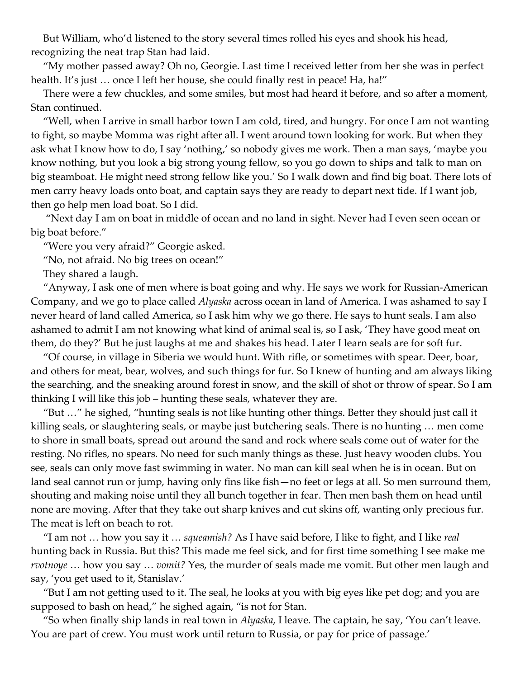But William, who'd listened to the story several times rolled his eyes and shook his head, recognizing the neat trap Stan had laid.

"My mother passed away? Oh no, Georgie. Last time I received letter from her she was in perfect health. It's just ... once I left her house, she could finally rest in peace! Ha, ha!"

There were a few chuckles, and some smiles, but most had heard it before, and so after a moment, Stan continued.

"Well, when I arrive in small harbor town I am cold, tired, and hungry. For once I am not wanting to fight, so maybe Momma was right after all. I went around town looking for work. But when they ask what I know how to do, I say 'nothing,' so nobody gives me work. Then a man says, 'maybe you know nothing, but you look a big strong young fellow, so you go down to ships and talk to man on big steamboat. He might need strong fellow like you.' So I walk down and find big boat. There lots of men carry heavy loads onto boat, and captain says they are ready to depart next tide. If I want job, then go help men load boat. So I did.

"Next day I am on boat in middle of ocean and no land in sight. Never had I even seen ocean or big boat before."

"Were you very afraid?" Georgie asked.

"No, not afraid. No big trees on ocean!"

They shared a laugh.

"Anyway, I ask one of men where is boat going and why. He says we work for Russian-American Company, and we go to place called *Alyaska* across ocean in land of America. I was ashamed to say I never heard of land called America, so I ask him why we go there. He says to hunt seals. I am also ashamed to admit I am not knowing what kind of animal seal is, so I ask, 'They have good meat on them, do they?' But he just laughs at me and shakes his head. Later I learn seals are for soft fur.

"Of course, in village in Siberia we would hunt. With rifle, or sometimes with spear. Deer, boar, and others for meat, bear, wolves, and such things for fur. So I knew of hunting and am always liking the searching, and the sneaking around forest in snow, and the skill of shot or throw of spear. So I am thinking I will like this job – hunting these seals, whatever they are.

"But …" he sighed, "hunting seals is not like hunting other things. Better they should just call it killing seals, or slaughtering seals, or maybe just butchering seals. There is no hunting … men come to shore in small boats, spread out around the sand and rock where seals come out of water for the resting. No rifles, no spears. No need for such manly things as these. Just heavy wooden clubs. You see, seals can only move fast swimming in water. No man can kill seal when he is in ocean. But on land seal cannot run or jump, having only fins like fish—no feet or legs at all. So men surround them, shouting and making noise until they all bunch together in fear. Then men bash them on head until none are moving. After that they take out sharp knives and cut skins off, wanting only precious fur. The meat is left on beach to rot.

"I am not … how you say it … *squeamish?* As I have said before, I like to fight, and I like *real* hunting back in Russia. But this? This made me feel sick, and for first time something I see make me *rvotnoye* … how you say … *vomit?* Yes, the murder of seals made me vomit. But other men laugh and say, 'you get used to it, Stanislav.'

"But I am not getting used to it. The seal, he looks at you with big eyes like pet dog; and you are supposed to bash on head," he sighed again, "is not for Stan.

"So when finally ship lands in real town in *Alyaska*, I leave. The captain, he say, 'You can't leave. You are part of crew. You must work until return to Russia, or pay for price of passage.'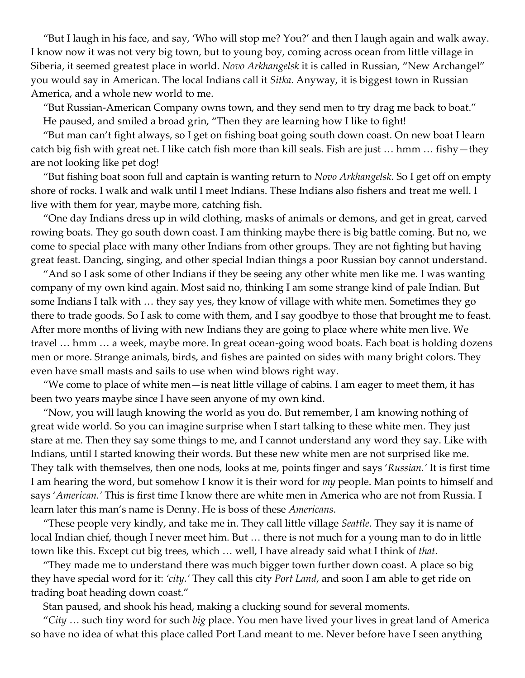"But I laugh in his face, and say, 'Who will stop me? You?' and then I laugh again and walk away. I know now it was not very big town, but to young boy, coming across ocean from little village in Siberia, it seemed greatest place in world. *Novo Arkhangelsk* it is called in Russian, "New Archangel" you would say in American. The local Indians call it *Sitka*. Anyway, it is biggest town in Russian America, and a whole new world to me.

"But Russian-American Company owns town, and they send men to try drag me back to boat." He paused, and smiled a broad grin, "Then they are learning how I like to fight!

"But man can't fight always, so I get on fishing boat going south down coast. On new boat I learn catch big fish with great net. I like catch fish more than kill seals. Fish are just … hmm … fishy—they are not looking like pet dog!

"But fishing boat soon full and captain is wanting return to *Novo Arkhangelsk*. So I get off on empty shore of rocks. I walk and walk until I meet Indians. These Indians also fishers and treat me well. I live with them for year, maybe more, catching fish.

"One day Indians dress up in wild clothing, masks of animals or demons, and get in great, carved rowing boats. They go south down coast. I am thinking maybe there is big battle coming. But no, we come to special place with many other Indians from other groups. They are not fighting but having great feast. Dancing, singing, and other special Indian things a poor Russian boy cannot understand.

"And so I ask some of other Indians if they be seeing any other white men like me. I was wanting company of my own kind again. Most said no, thinking I am some strange kind of pale Indian. But some Indians I talk with … they say yes, they know of village with white men. Sometimes they go there to trade goods. So I ask to come with them, and I say goodbye to those that brought me to feast. After more months of living with new Indians they are going to place where white men live. We travel … hmm … a week, maybe more. In great ocean-going wood boats. Each boat is holding dozens men or more. Strange animals, birds, and fishes are painted on sides with many bright colors. They even have small masts and sails to use when wind blows right way.

"We come to place of white men—is neat little village of cabins. I am eager to meet them, it has been two years maybe since I have seen anyone of my own kind.

"Now, you will laugh knowing the world as you do. But remember, I am knowing nothing of great wide world. So you can imagine surprise when I start talking to these white men. They just stare at me. Then they say some things to me, and I cannot understand any word they say. Like with Indians, until I started knowing their words. But these new white men are not surprised like me. They talk with themselves, then one nods, looks at me, points finger and says '*Russian.'* It is first time I am hearing the word, but somehow I know it is their word for *my* people. Man points to himself and says '*American.'* This is first time I know there are white men in America who are not from Russia. I learn later this man's name is Denny. He is boss of these *Americans*.

"These people very kindly, and take me in. They call little village *Seattle*. They say it is name of local Indian chief, though I never meet him. But … there is not much for a young man to do in little town like this. Except cut big trees, which … well, I have already said what I think of *that*.

"They made me to understand there was much bigger town further down coast. A place so big they have special word for it: *'city.'* They call this city *Port Land*, and soon I am able to get ride on trading boat heading down coast."

Stan paused, and shook his head, making a clucking sound for several moments.

"*City* … such tiny word for such *big* place. You men have lived your lives in great land of America so have no idea of what this place called Port Land meant to me. Never before have I seen anything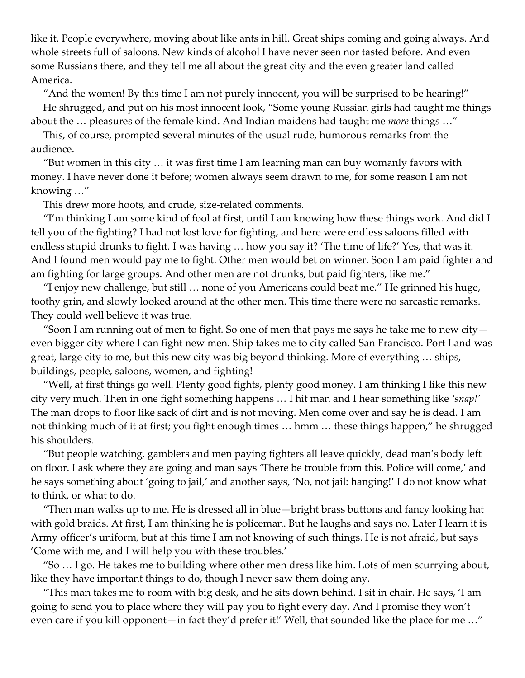like it. People everywhere, moving about like ants in hill. Great ships coming and going always. And whole streets full of saloons. New kinds of alcohol I have never seen nor tasted before. And even some Russians there, and they tell me all about the great city and the even greater land called America.

"And the women! By this time I am not purely innocent, you will be surprised to be hearing!" He shrugged, and put on his most innocent look, "Some young Russian girls had taught me things about the … pleasures of the female kind. And Indian maidens had taught me *more* things …"

This, of course, prompted several minutes of the usual rude, humorous remarks from the audience.

"But women in this city … it was first time I am learning man can buy womanly favors with money. I have never done it before; women always seem drawn to me, for some reason I am not knowing …"

This drew more hoots, and crude, size-related comments.

"I'm thinking I am some kind of fool at first, until I am knowing how these things work. And did I tell you of the fighting? I had not lost love for fighting, and here were endless saloons filled with endless stupid drunks to fight. I was having … how you say it? 'The time of life?' Yes, that was it. And I found men would pay me to fight. Other men would bet on winner. Soon I am paid fighter and am fighting for large groups. And other men are not drunks, but paid fighters, like me."

"I enjoy new challenge, but still … none of you Americans could beat me." He grinned his huge, toothy grin, and slowly looked around at the other men. This time there were no sarcastic remarks. They could well believe it was true.

"Soon I am running out of men to fight. So one of men that pays me says he take me to new city even bigger city where I can fight new men. Ship takes me to city called San Francisco. Port Land was great, large city to me, but this new city was big beyond thinking. More of everything … ships, buildings, people, saloons, women, and fighting!

"Well, at first things go well. Plenty good fights, plenty good money. I am thinking I like this new city very much. Then in one fight something happens … I hit man and I hear something like *'snap!'* The man drops to floor like sack of dirt and is not moving. Men come over and say he is dead. I am not thinking much of it at first; you fight enough times … hmm … these things happen," he shrugged his shoulders.

"But people watching, gamblers and men paying fighters all leave quickly, dead man's body left on floor. I ask where they are going and man says 'There be trouble from this. Police will come,' and he says something about 'going to jail,' and another says, 'No, not jail: hanging!' I do not know what to think, or what to do.

"Then man walks up to me. He is dressed all in blue—bright brass buttons and fancy looking hat with gold braids. At first, I am thinking he is policeman. But he laughs and says no. Later I learn it is Army officer's uniform, but at this time I am not knowing of such things. He is not afraid, but says 'Come with me, and I will help you with these troubles.'

"So … I go. He takes me to building where other men dress like him. Lots of men scurrying about, like they have important things to do, though I never saw them doing any.

"This man takes me to room with big desk, and he sits down behind. I sit in chair. He says, 'I am going to send you to place where they will pay you to fight every day. And I promise they won't even care if you kill opponent—in fact they'd prefer it!' Well, that sounded like the place for me …"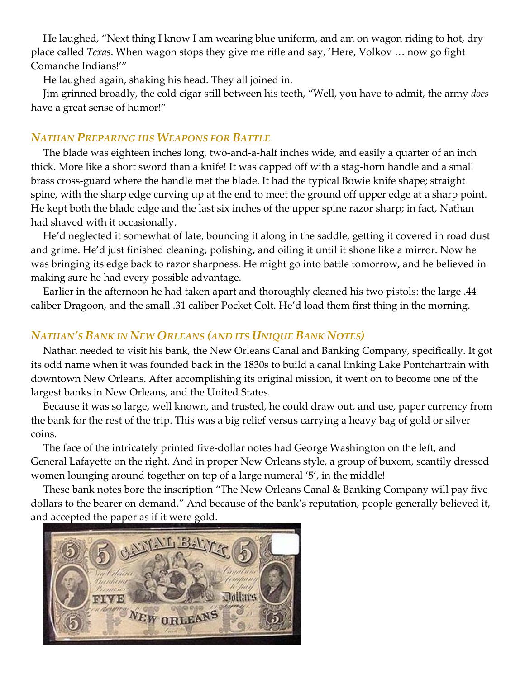He laughed, "Next thing I know I am wearing blue uniform, and am on wagon riding to hot, dry place called *Texas*. When wagon stops they give me rifle and say, 'Here, Volkov … now go fight Comanche Indians!'"

He laughed again, shaking his head. They all joined in.

Jim grinned broadly, the cold cigar still between his teeth, "Well, you have to admit, the army *does* have a great sense of humor!"

# *NATHAN PREPARING HIS WEAPONS FOR BATTLE*

The blade was eighteen inches long, two-and-a-half inches wide, and easily a quarter of an inch thick. More like a short sword than a knife! It was capped off with a stag-horn handle and a small brass cross-guard where the handle met the blade. It had the typical Bowie knife shape; straight spine, with the sharp edge curving up at the end to meet the ground off upper edge at a sharp point. He kept both the blade edge and the last six inches of the upper spine razor sharp; in fact, Nathan had shaved with it occasionally.

He'd neglected it somewhat of late, bouncing it along in the saddle, getting it covered in road dust and grime. He'd just finished cleaning, polishing, and oiling it until it shone like a mirror. Now he was bringing its edge back to razor sharpness. He might go into battle tomorrow, and he believed in making sure he had every possible advantage.

Earlier in the afternoon he had taken apart and thoroughly cleaned his two pistols: the large .44 caliber Dragoon, and the small .31 caliber Pocket Colt. He'd load them first thing in the morning.

# *NATHAN'S BANK IN NEW ORLEANS (AND ITS UNIQUE BANK NOTES)*

Nathan needed to visit his bank, the New Orleans Canal and Banking Company, specifically. It got its odd name when it was founded back in the 1830s to build a canal linking Lake Pontchartrain with downtown New Orleans. After accomplishing its original mission, it went on to become one of the largest banks in New Orleans, and the United States.

Because it was so large, well known, and trusted, he could draw out, and use, paper currency from the bank for the rest of the trip. This was a big relief versus carrying a heavy bag of gold or silver coins.

The face of the intricately printed five-dollar notes had George Washington on the left, and General Lafayette on the right. And in proper New Orleans style, a group of buxom, scantily dressed women lounging around together on top of a large numeral '5', in the middle!

These bank notes bore the inscription "The New Orleans Canal & Banking Company will pay five dollars to the bearer on demand." And because of the bank's reputation, people generally believed it, and accepted the paper as if it were gold.

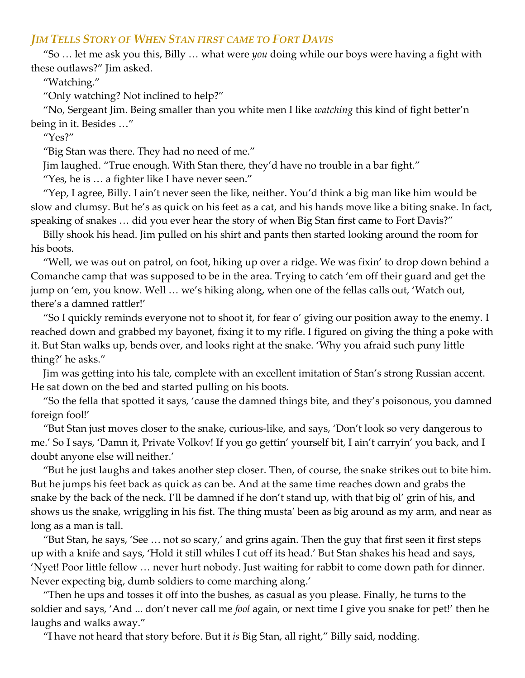## *JIM TELLS STORY OF WHEN STAN FIRST CAME TO FORT DAVIS*

"So … let me ask you this, Billy … what were *you* doing while our boys were having a fight with these outlaws?" Jim asked.

"Watching."

"Only watching? Not inclined to help?"

"No, Sergeant Jim. Being smaller than you white men I like *watching* this kind of fight better'n being in it. Besides …"

"Yes?"

"Big Stan was there. They had no need of me."

Jim laughed. "True enough. With Stan there, they'd have no trouble in a bar fight."

"Yes, he is … a fighter like I have never seen."

"Yep, I agree, Billy. I ain't never seen the like, neither. You'd think a big man like him would be slow and clumsy. But he's as quick on his feet as a cat, and his hands move like a biting snake. In fact, speaking of snakes … did you ever hear the story of when Big Stan first came to Fort Davis?"

Billy shook his head. Jim pulled on his shirt and pants then started looking around the room for his boots.

"Well, we was out on patrol, on foot, hiking up over a ridge. We was fixin' to drop down behind a Comanche camp that was supposed to be in the area. Trying to catch 'em off their guard and get the jump on 'em, you know. Well … we's hiking along, when one of the fellas calls out, 'Watch out, there's a damned rattler!'

"So I quickly reminds everyone not to shoot it, for fear o' giving our position away to the enemy. I reached down and grabbed my bayonet, fixing it to my rifle. I figured on giving the thing a poke with it. But Stan walks up, bends over, and looks right at the snake. 'Why you afraid such puny little thing?' he asks."

Jim was getting into his tale, complete with an excellent imitation of Stan's strong Russian accent. He sat down on the bed and started pulling on his boots.

"So the fella that spotted it says, 'cause the damned things bite, and they's poisonous, you damned foreign fool!'

"But Stan just moves closer to the snake, curious-like, and says, 'Don't look so very dangerous to me.' So I says, 'Damn it, Private Volkov! If you go gettin' yourself bit, I ain't carryin' you back, and I doubt anyone else will neither.'

"But he just laughs and takes another step closer. Then, of course, the snake strikes out to bite him. But he jumps his feet back as quick as can be. And at the same time reaches down and grabs the snake by the back of the neck. I'll be damned if he don't stand up, with that big ol' grin of his, and shows us the snake, wriggling in his fist. The thing musta' been as big around as my arm, and near as long as a man is tall.

"But Stan, he says, 'See … not so scary,' and grins again. Then the guy that first seen it first steps up with a knife and says, 'Hold it still whiles I cut off its head.' But Stan shakes his head and says, 'Nyet! Poor little fellow … never hurt nobody. Just waiting for rabbit to come down path for dinner. Never expecting big, dumb soldiers to come marching along.'

"Then he ups and tosses it off into the bushes, as casual as you please. Finally, he turns to the soldier and says, 'And ... don't never call me *fool* again, or next time I give you snake for pet!' then he laughs and walks away."

"I have not heard that story before. But it *is* Big Stan, all right," Billy said, nodding.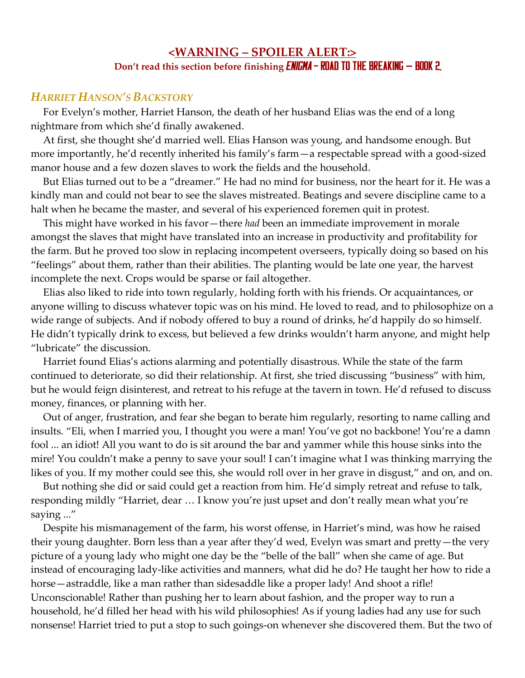# **<WARNING – SPOILER ALERT:> Don't read this section before finishing <b>ENIGMA** – **ROAD TO THE BREAKING** – **BOOK 2.**

# *HARRIET HANSON'S BACKSTORY*

For Evelyn's mother, Harriet Hanson, the death of her husband Elias was the end of a long nightmare from which she'd finally awakened.

At first, she thought she'd married well. Elias Hanson was young, and handsome enough. But more importantly, he'd recently inherited his family's farm—a respectable spread with a good-sized manor house and a few dozen slaves to work the fields and the household.

But Elias turned out to be a "dreamer." He had no mind for business, nor the heart for it. He was a kindly man and could not bear to see the slaves mistreated. Beatings and severe discipline came to a halt when he became the master, and several of his experienced foremen quit in protest.

This might have worked in his favor—there *had* been an immediate improvement in morale amongst the slaves that might have translated into an increase in productivity and profitability for the farm. But he proved too slow in replacing incompetent overseers, typically doing so based on his "feelings" about them, rather than their abilities. The planting would be late one year, the harvest incomplete the next. Crops would be sparse or fail altogether.

Elias also liked to ride into town regularly, holding forth with his friends. Or acquaintances, or anyone willing to discuss whatever topic was on his mind. He loved to read, and to philosophize on a wide range of subjects. And if nobody offered to buy a round of drinks, he'd happily do so himself. He didn't typically drink to excess, but believed a few drinks wouldn't harm anyone, and might help "lubricate" the discussion.

Harriet found Elias's actions alarming and potentially disastrous. While the state of the farm continued to deteriorate, so did their relationship. At first, she tried discussing "business" with him, but he would feign disinterest, and retreat to his refuge at the tavern in town. He'd refused to discuss money, finances, or planning with her.

Out of anger, frustration, and fear she began to berate him regularly, resorting to name calling and insults. "Eli, when I married you, I thought you were a man! You've got no backbone! You're a damn fool ... an idiot! All you want to do is sit around the bar and yammer while this house sinks into the mire! You couldn't make a penny to save your soul! I can't imagine what I was thinking marrying the likes of you. If my mother could see this, she would roll over in her grave in disgust," and on, and on.

But nothing she did or said could get a reaction from him. He'd simply retreat and refuse to talk, responding mildly "Harriet, dear … I know you're just upset and don't really mean what you're saying ..."

Despite his mismanagement of the farm, his worst offense, in Harriet's mind, was how he raised their young daughter. Born less than a year after they'd wed, Evelyn was smart and pretty—the very picture of a young lady who might one day be the "belle of the ball" when she came of age. But instead of encouraging lady-like activities and manners, what did he do? He taught her how to ride a horse—astraddle, like a man rather than sidesaddle like a proper lady! And shoot a rifle! Unconscionable! Rather than pushing her to learn about fashion, and the proper way to run a household, he'd filled her head with his wild philosophies! As if young ladies had any use for such nonsense! Harriet tried to put a stop to such goings-on whenever she discovered them. But the two of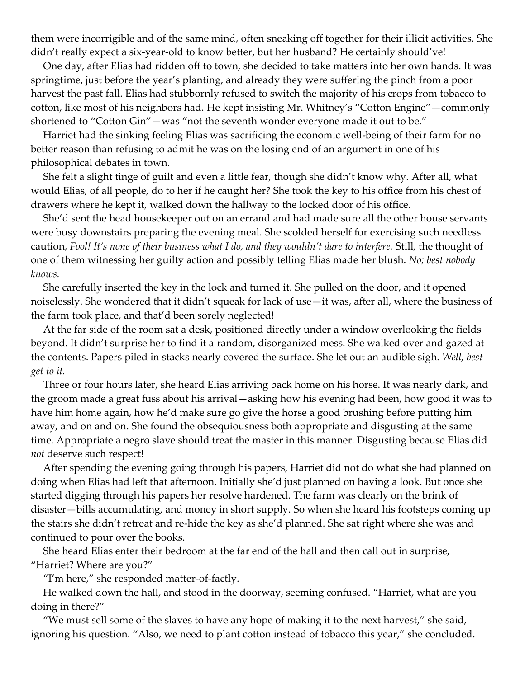them were incorrigible and of the same mind, often sneaking off together for their illicit activities. She didn't really expect a six-year-old to know better, but her husband? He certainly should've!

One day, after Elias had ridden off to town, she decided to take matters into her own hands. It was springtime, just before the year's planting, and already they were suffering the pinch from a poor harvest the past fall. Elias had stubbornly refused to switch the majority of his crops from tobacco to cotton, like most of his neighbors had. He kept insisting Mr. Whitney's "Cotton Engine"—commonly shortened to "Cotton Gin"—was "not the seventh wonder everyone made it out to be."

Harriet had the sinking feeling Elias was sacrificing the economic well-being of their farm for no better reason than refusing to admit he was on the losing end of an argument in one of his philosophical debates in town.

She felt a slight tinge of guilt and even a little fear, though she didn't know why. After all, what would Elias, of all people, do to her if he caught her? She took the key to his office from his chest of drawers where he kept it, walked down the hallway to the locked door of his office.

She'd sent the head housekeeper out on an errand and had made sure all the other house servants were busy downstairs preparing the evening meal. She scolded herself for exercising such needless caution, *Fool! It's none of their business what I do, and they wouldn't dare to interfere.* Still, the thought of one of them witnessing her guilty action and possibly telling Elias made her blush. *No; best nobody knows.*

She carefully inserted the key in the lock and turned it. She pulled on the door, and it opened noiselessly. She wondered that it didn't squeak for lack of use—it was, after all, where the business of the farm took place, and that'd been sorely neglected!

At the far side of the room sat a desk, positioned directly under a window overlooking the fields beyond. It didn't surprise her to find it a random, disorganized mess. She walked over and gazed at the contents. Papers piled in stacks nearly covered the surface. She let out an audible sigh. *Well, best get to it.*

Three or four hours later, she heard Elias arriving back home on his horse. It was nearly dark, and the groom made a great fuss about his arrival—asking how his evening had been, how good it was to have him home again, how he'd make sure go give the horse a good brushing before putting him away, and on and on. She found the obsequiousness both appropriate and disgusting at the same time. Appropriate a negro slave should treat the master in this manner. Disgusting because Elias did *not* deserve such respect!

After spending the evening going through his papers, Harriet did not do what she had planned on doing when Elias had left that afternoon. Initially she'd just planned on having a look. But once she started digging through his papers her resolve hardened. The farm was clearly on the brink of disaster—bills accumulating, and money in short supply. So when she heard his footsteps coming up the stairs she didn't retreat and re-hide the key as she'd planned. She sat right where she was and continued to pour over the books.

She heard Elias enter their bedroom at the far end of the hall and then call out in surprise, "Harriet? Where are you?"

"I'm here," she responded matter-of-factly.

He walked down the hall, and stood in the doorway, seeming confused. "Harriet, what are you doing in there?"

"We must sell some of the slaves to have any hope of making it to the next harvest," she said, ignoring his question. "Also, we need to plant cotton instead of tobacco this year," she concluded.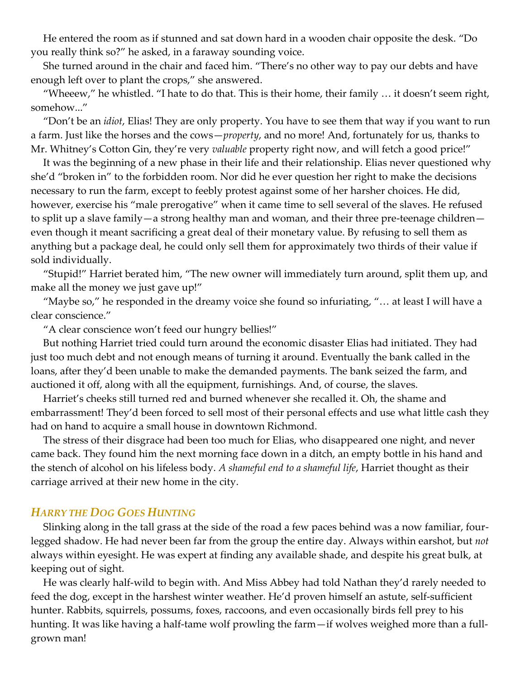He entered the room as if stunned and sat down hard in a wooden chair opposite the desk. "Do you really think so?" he asked, in a faraway sounding voice.

She turned around in the chair and faced him. "There's no other way to pay our debts and have enough left over to plant the crops," she answered.

"Wheeew," he whistled. "I hate to do that. This is their home, their family … it doesn't seem right, somehow..."

"Don't be an *idiot*, Elias! They are only property. You have to see them that way if you want to run a farm. Just like the horses and the cows—*property*, and no more! And, fortunately for us, thanks to Mr. Whitney's Cotton Gin, they're very *valuable* property right now, and will fetch a good price!"

It was the beginning of a new phase in their life and their relationship. Elias never questioned why she'd "broken in" to the forbidden room. Nor did he ever question her right to make the decisions necessary to run the farm, except to feebly protest against some of her harsher choices. He did, however, exercise his "male prerogative" when it came time to sell several of the slaves. He refused to split up a slave family—a strong healthy man and woman, and their three pre-teenage children even though it meant sacrificing a great deal of their monetary value. By refusing to sell them as anything but a package deal, he could only sell them for approximately two thirds of their value if sold individually.

"Stupid!" Harriet berated him, "The new owner will immediately turn around, split them up, and make all the money we just gave up!"

"Maybe so," he responded in the dreamy voice she found so infuriating, "… at least I will have a clear conscience."

"A clear conscience won't feed our hungry bellies!"

But nothing Harriet tried could turn around the economic disaster Elias had initiated. They had just too much debt and not enough means of turning it around. Eventually the bank called in the loans, after they'd been unable to make the demanded payments. The bank seized the farm, and auctioned it off, along with all the equipment, furnishings. And, of course, the slaves.

Harriet's cheeks still turned red and burned whenever she recalled it. Oh, the shame and embarrassment! They'd been forced to sell most of their personal effects and use what little cash they had on hand to acquire a small house in downtown Richmond.

The stress of their disgrace had been too much for Elias, who disappeared one night, and never came back. They found him the next morning face down in a ditch, an empty bottle in his hand and the stench of alcohol on his lifeless body. *A shameful end to a shameful life*, Harriet thought as their carriage arrived at their new home in the city.

### *HARRY THE DOG GOES HUNTING*

Slinking along in the tall grass at the side of the road a few paces behind was a now familiar, fourlegged shadow. He had never been far from the group the entire day. Always within earshot, but *not* always within eyesight. He was expert at finding any available shade, and despite his great bulk, at keeping out of sight.

He was clearly half-wild to begin with. And Miss Abbey had told Nathan they'd rarely needed to feed the dog, except in the harshest winter weather. He'd proven himself an astute, self-sufficient hunter. Rabbits, squirrels, possums, foxes, raccoons, and even occasionally birds fell prey to his hunting. It was like having a half-tame wolf prowling the farm—if wolves weighed more than a fullgrown man!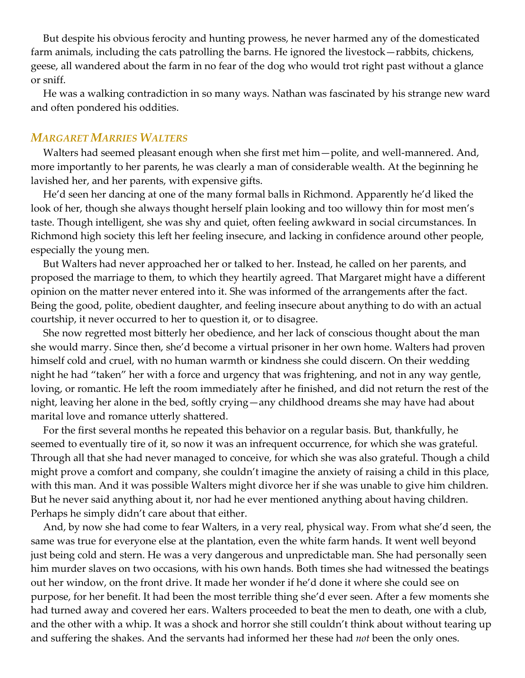But despite his obvious ferocity and hunting prowess, he never harmed any of the domesticated farm animals, including the cats patrolling the barns. He ignored the livestock—rabbits, chickens, geese, all wandered about the farm in no fear of the dog who would trot right past without a glance or sniff.

He was a walking contradiction in so many ways. Nathan was fascinated by his strange new ward and often pondered his oddities.

### *MARGARET MARRIES WALTERS*

Walters had seemed pleasant enough when she first met him—polite, and well-mannered. And, more importantly to her parents, he was clearly a man of considerable wealth. At the beginning he lavished her, and her parents, with expensive gifts.

He'd seen her dancing at one of the many formal balls in Richmond. Apparently he'd liked the look of her, though she always thought herself plain looking and too willowy thin for most men's taste. Though intelligent, she was shy and quiet, often feeling awkward in social circumstances. In Richmond high society this left her feeling insecure, and lacking in confidence around other people, especially the young men.

But Walters had never approached her or talked to her. Instead, he called on her parents, and proposed the marriage to them, to which they heartily agreed. That Margaret might have a different opinion on the matter never entered into it. She was informed of the arrangements after the fact. Being the good, polite, obedient daughter, and feeling insecure about anything to do with an actual courtship, it never occurred to her to question it, or to disagree.

She now regretted most bitterly her obedience, and her lack of conscious thought about the man she would marry. Since then, she'd become a virtual prisoner in her own home. Walters had proven himself cold and cruel, with no human warmth or kindness she could discern. On their wedding night he had "taken" her with a force and urgency that was frightening, and not in any way gentle, loving, or romantic. He left the room immediately after he finished, and did not return the rest of the night, leaving her alone in the bed, softly crying—any childhood dreams she may have had about marital love and romance utterly shattered.

For the first several months he repeated this behavior on a regular basis. But, thankfully, he seemed to eventually tire of it, so now it was an infrequent occurrence, for which she was grateful. Through all that she had never managed to conceive, for which she was also grateful. Though a child might prove a comfort and company, she couldn't imagine the anxiety of raising a child in this place, with this man. And it was possible Walters might divorce her if she was unable to give him children. But he never said anything about it, nor had he ever mentioned anything about having children. Perhaps he simply didn't care about that either.

And, by now she had come to fear Walters, in a very real, physical way. From what she'd seen, the same was true for everyone else at the plantation, even the white farm hands. It went well beyond just being cold and stern. He was a very dangerous and unpredictable man. She had personally seen him murder slaves on two occasions, with his own hands. Both times she had witnessed the beatings out her window, on the front drive. It made her wonder if he'd done it where she could see on purpose, for her benefit. It had been the most terrible thing she'd ever seen. After a few moments she had turned away and covered her ears. Walters proceeded to beat the men to death, one with a club, and the other with a whip. It was a shock and horror she still couldn't think about without tearing up and suffering the shakes. And the servants had informed her these had *not* been the only ones.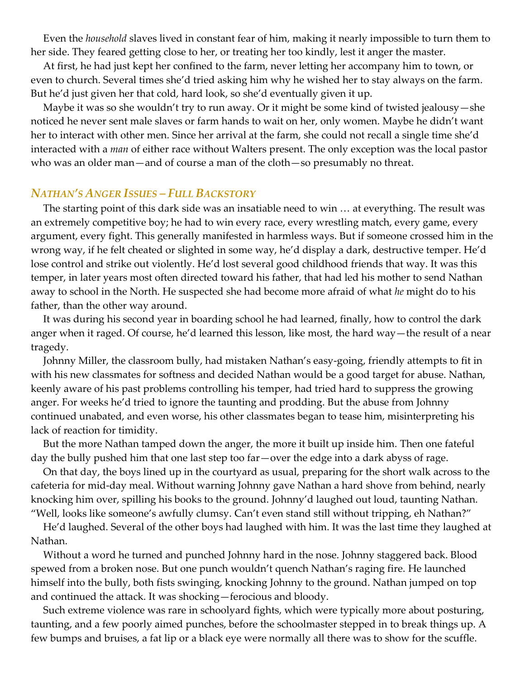Even the *household* slaves lived in constant fear of him, making it nearly impossible to turn them to her side. They feared getting close to her, or treating her too kindly, lest it anger the master.

At first, he had just kept her confined to the farm, never letting her accompany him to town, or even to church. Several times she'd tried asking him why he wished her to stay always on the farm. But he'd just given her that cold, hard look, so she'd eventually given it up.

Maybe it was so she wouldn't try to run away. Or it might be some kind of twisted jealousy—she noticed he never sent male slaves or farm hands to wait on her, only women. Maybe he didn't want her to interact with other men. Since her arrival at the farm, she could not recall a single time she'd interacted with a *man* of either race without Walters present. The only exception was the local pastor who was an older man—and of course a man of the cloth—so presumably no threat.

### *NATHAN'S ANGER ISSUES – FULL BACKSTORY*

The starting point of this dark side was an insatiable need to win … at everything. The result was an extremely competitive boy; he had to win every race, every wrestling match, every game, every argument, every fight. This generally manifested in harmless ways. But if someone crossed him in the wrong way, if he felt cheated or slighted in some way, he'd display a dark, destructive temper. He'd lose control and strike out violently. He'd lost several good childhood friends that way. It was this temper, in later years most often directed toward his father, that had led his mother to send Nathan away to school in the North. He suspected she had become more afraid of what *he* might do to his father, than the other way around.

It was during his second year in boarding school he had learned, finally, how to control the dark anger when it raged. Of course, he'd learned this lesson, like most, the hard way—the result of a near tragedy.

Johnny Miller, the classroom bully, had mistaken Nathan's easy-going, friendly attempts to fit in with his new classmates for softness and decided Nathan would be a good target for abuse. Nathan, keenly aware of his past problems controlling his temper, had tried hard to suppress the growing anger. For weeks he'd tried to ignore the taunting and prodding. But the abuse from Johnny continued unabated, and even worse, his other classmates began to tease him, misinterpreting his lack of reaction for timidity.

But the more Nathan tamped down the anger, the more it built up inside him. Then one fateful day the bully pushed him that one last step too far—over the edge into a dark abyss of rage.

On that day, the boys lined up in the courtyard as usual, preparing for the short walk across to the cafeteria for mid-day meal. Without warning Johnny gave Nathan a hard shove from behind, nearly knocking him over, spilling his books to the ground. Johnny'd laughed out loud, taunting Nathan. "Well, looks like someone's awfully clumsy. Can't even stand still without tripping, eh Nathan?"

He'd laughed. Several of the other boys had laughed with him. It was the last time they laughed at Nathan.

Without a word he turned and punched Johnny hard in the nose. Johnny staggered back. Blood spewed from a broken nose. But one punch wouldn't quench Nathan's raging fire. He launched himself into the bully, both fists swinging, knocking Johnny to the ground. Nathan jumped on top and continued the attack. It was shocking—ferocious and bloody.

Such extreme violence was rare in schoolyard fights, which were typically more about posturing, taunting, and a few poorly aimed punches, before the schoolmaster stepped in to break things up. A few bumps and bruises, a fat lip or a black eye were normally all there was to show for the scuffle.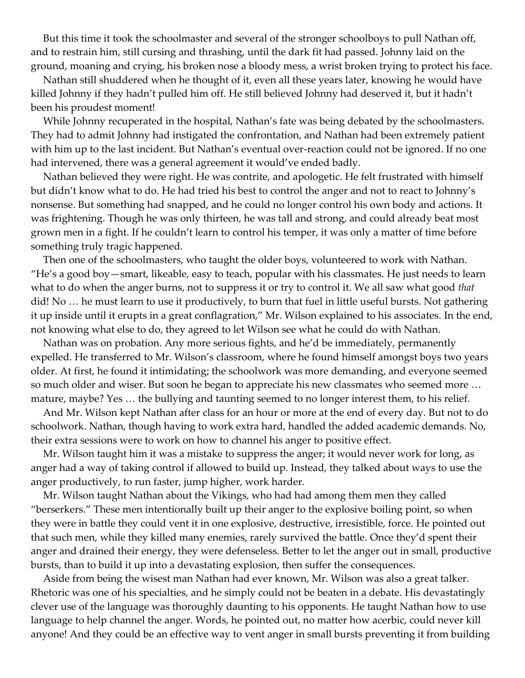But this time it took the schoolmaster and several of the stronger schoolboys to pull Nathan off, and to restrain him, still cursing and thrashing, until the dark fit had passed. Johnny laid on the ground, moaning and crying, his broken nose a bloody mess, a wrist broken trying to protect his face.

Nathan still shuddered when he thought of it, even all these years later, knowing he would have killed Johnny if they hadn't pulled him off. He still believed Johnny had deserved it, but it hadn't been his proudest moment!

While Johnny recuperated in the hospital, Nathan's fate was being debated by the schoolmasters. They had to admit Johnny had instigated the confrontation, and Nathan had been extremely patient with him up to the last incident. But Nathan's eventual over-reaction could not be ignored. If no one had intervened, there was a general agreement it would've ended badly.

Nathan believed they were right. He was contrite, and apologetic. He felt frustrated with himself but didn't know what to do. He had tried his best to control the anger and not to react to Johnny's nonsense. But something had snapped, and he could no longer control his own body and actions. It was frightening. Though he was only thirteen, he was tall and strong, and could already beat most grown men in a fight. If he couldn't learn to control his temper, it was only a matter of time before something truly tragic happened.

Then one of the schoolmasters, who taught the older boys, volunteered to work with Nathan. "He's a good boy—smart, likeable, easy to teach, popular with his classmates. He just needs to learn what to do when the anger burns, not to suppress it or try to control it. We all saw what good *that* did! No … he must learn to use it productively, to burn that fuel in little useful bursts. Not gathering it up inside until it erupts in a great conflagration," Mr. Wilson explained to his associates. In the end, not knowing what else to do, they agreed to let Wilson see what he could do with Nathan.

Nathan was on probation. Any more serious fights, and he'd be immediately, permanently expelled. He transferred to Mr. Wilson's classroom, where he found himself amongst boys two years older. At first, he found it intimidating; the schoolwork was more demanding, and everyone seemed so much older and wiser. But soon he began to appreciate his new classmates who seemed more … mature, maybe? Yes … the bullying and taunting seemed to no longer interest them, to his relief.

And Mr. Wilson kept Nathan after class for an hour or more at the end of every day. But not to do schoolwork. Nathan, though having to work extra hard, handled the added academic demands. No, their extra sessions were to work on how to channel his anger to positive effect.

Mr. Wilson taught him it was a mistake to suppress the anger; it would never work for long, as anger had a way of taking control if allowed to build up. Instead, they talked about ways to use the anger productively, to run faster, jump higher, work harder.

Mr. Wilson taught Nathan about the Vikings, who had had among them men they called "berserkers." These men intentionally built up their anger to the explosive boiling point, so when they were in battle they could vent it in one explosive, destructive, irresistible, force. He pointed out that such men, while they killed many enemies, rarely survived the battle. Once they'd spent their anger and drained their energy, they were defenseless. Better to let the anger out in small, productive bursts, than to build it up into a devastating explosion, then suffer the consequences.

Aside from being the wisest man Nathan had ever known, Mr. Wilson was also a great talker. Rhetoric was one of his specialties, and he simply could not be beaten in a debate. His devastatingly clever use of the language was thoroughly daunting to his opponents. He taught Nathan how to use language to help channel the anger. Words, he pointed out, no matter how acerbic, could never kill anyone! And they could be an effective way to vent anger in small bursts preventing it from building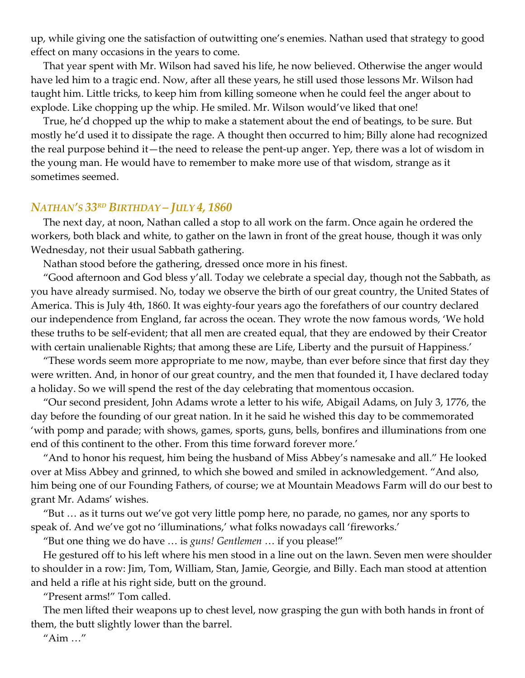up, while giving one the satisfaction of outwitting one's enemies. Nathan used that strategy to good effect on many occasions in the years to come.

That year spent with Mr. Wilson had saved his life, he now believed. Otherwise the anger would have led him to a tragic end. Now, after all these years, he still used those lessons Mr. Wilson had taught him. Little tricks, to keep him from killing someone when he could feel the anger about to explode. Like chopping up the whip. He smiled. Mr. Wilson would've liked that one!

True, he'd chopped up the whip to make a statement about the end of beatings, to be sure. But mostly he'd used it to dissipate the rage. A thought then occurred to him; Billy alone had recognized the real purpose behind it—the need to release the pent-up anger. Yep, there was a lot of wisdom in the young man. He would have to remember to make more use of that wisdom, strange as it sometimes seemed.

#### *NATHAN'S 33RD BIRTHDAY – JULY 4, 1860*

The next day, at noon, Nathan called a stop to all work on the farm. Once again he ordered the workers, both black and white, to gather on the lawn in front of the great house, though it was only Wednesday, not their usual Sabbath gathering.

Nathan stood before the gathering, dressed once more in his finest.

"Good afternoon and God bless y'all. Today we celebrate a special day, though not the Sabbath, as you have already surmised. No, today we observe the birth of our great country, the United States of America. This is July 4th, 1860. It was eighty-four years ago the forefathers of our country declared our independence from England, far across the ocean. They wrote the now famous words, 'We hold these truths to be self-evident; that all men are created equal, that they are endowed by their Creator with certain unalienable Rights; that among these are Life, Liberty and the pursuit of Happiness.'

"These words seem more appropriate to me now, maybe, than ever before since that first day they were written. And, in honor of our great country, and the men that founded it, I have declared today a holiday. So we will spend the rest of the day celebrating that momentous occasion.

"Our second president, John Adams wrote a letter to his wife, Abigail Adams, on July 3, 1776, the day before the founding of our great nation. In it he said he wished this day to be commemorated 'with pomp and parade; with shows, games, sports, guns, bells, bonfires and illuminations from one end of this continent to the other. From this time forward forever more.'

"And to honor his request, him being the husband of Miss Abbey's namesake and all." He looked over at Miss Abbey and grinned, to which she bowed and smiled in acknowledgement. "And also, him being one of our Founding Fathers, of course; we at Mountain Meadows Farm will do our best to grant Mr. Adams' wishes.

"But … as it turns out we've got very little pomp here, no parade, no games, nor any sports to speak of. And we've got no 'illuminations,' what folks nowadays call 'fireworks.'

"But one thing we do have … is *guns! Gentlemen* … if you please!"

He gestured off to his left where his men stood in a line out on the lawn. Seven men were shoulder to shoulder in a row: Jim, Tom, William, Stan, Jamie, Georgie, and Billy. Each man stood at attention and held a rifle at his right side, butt on the ground.

"Present arms!" Tom called.

The men lifted their weapons up to chest level, now grasping the gun with both hands in front of them, the butt slightly lower than the barrel.

"Aim …"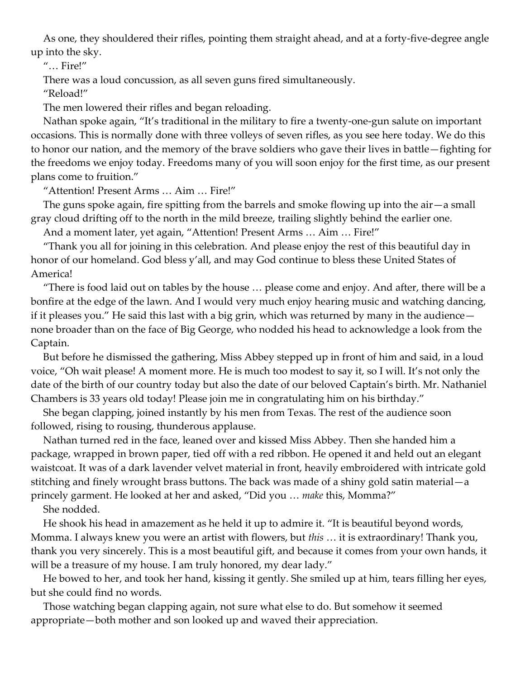As one, they shouldered their rifles, pointing them straight ahead, and at a forty-five-degree angle up into the sky.

"… Fire!"

There was a loud concussion, as all seven guns fired simultaneously.

"Reload!"

The men lowered their rifles and began reloading.

Nathan spoke again, "It's traditional in the military to fire a twenty-one-gun salute on important occasions. This is normally done with three volleys of seven rifles, as you see here today. We do this to honor our nation, and the memory of the brave soldiers who gave their lives in battle—fighting for the freedoms we enjoy today. Freedoms many of you will soon enjoy for the first time, as our present plans come to fruition."

"Attention! Present Arms … Aim … Fire!"

The guns spoke again, fire spitting from the barrels and smoke flowing up into the air—a small gray cloud drifting off to the north in the mild breeze, trailing slightly behind the earlier one.

And a moment later, yet again, "Attention! Present Arms … Aim … Fire!"

"Thank you all for joining in this celebration. And please enjoy the rest of this beautiful day in honor of our homeland. God bless y'all, and may God continue to bless these United States of America!

"There is food laid out on tables by the house … please come and enjoy. And after, there will be a bonfire at the edge of the lawn. And I would very much enjoy hearing music and watching dancing, if it pleases you." He said this last with a big grin, which was returned by many in the audience none broader than on the face of Big George, who nodded his head to acknowledge a look from the Captain.

But before he dismissed the gathering, Miss Abbey stepped up in front of him and said, in a loud voice, "Oh wait please! A moment more. He is much too modest to say it, so I will. It's not only the date of the birth of our country today but also the date of our beloved Captain's birth. Mr. Nathaniel Chambers is 33 years old today! Please join me in congratulating him on his birthday."

She began clapping, joined instantly by his men from Texas. The rest of the audience soon followed, rising to rousing, thunderous applause.

Nathan turned red in the face, leaned over and kissed Miss Abbey. Then she handed him a package, wrapped in brown paper, tied off with a red ribbon. He opened it and held out an elegant waistcoat. It was of a dark lavender velvet material in front, heavily embroidered with intricate gold stitching and finely wrought brass buttons. The back was made of a shiny gold satin material—a princely garment. He looked at her and asked, "Did you … *make* this, Momma?"

She nodded.

He shook his head in amazement as he held it up to admire it. "It is beautiful beyond words, Momma. I always knew you were an artist with flowers, but *this* … it is extraordinary! Thank you, thank you very sincerely. This is a most beautiful gift, and because it comes from your own hands, it will be a treasure of my house. I am truly honored, my dear lady."

He bowed to her, and took her hand, kissing it gently. She smiled up at him, tears filling her eyes, but she could find no words.

Those watching began clapping again, not sure what else to do. But somehow it seemed appropriate—both mother and son looked up and waved their appreciation.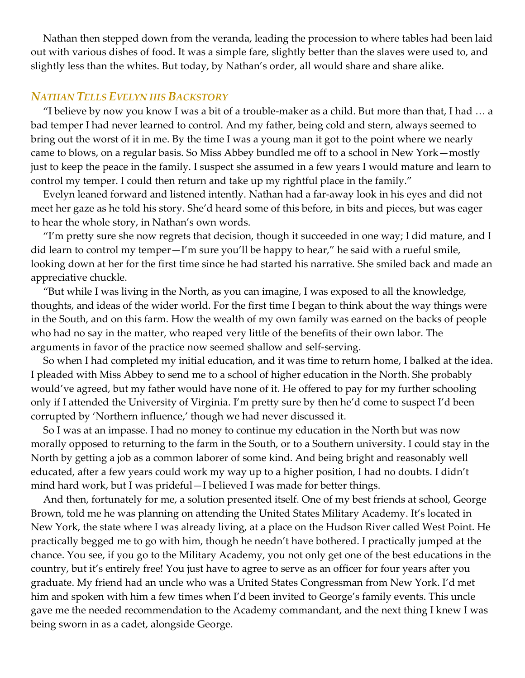Nathan then stepped down from the veranda, leading the procession to where tables had been laid out with various dishes of food. It was a simple fare, slightly better than the slaves were used to, and slightly less than the whites. But today, by Nathan's order, all would share and share alike.

### *NATHAN TELLS EVELYN HIS BACKSTORY*

"I believe by now you know I was a bit of a trouble-maker as a child. But more than that, I had … a bad temper I had never learned to control. And my father, being cold and stern, always seemed to bring out the worst of it in me. By the time I was a young man it got to the point where we nearly came to blows, on a regular basis. So Miss Abbey bundled me off to a school in New York—mostly just to keep the peace in the family. I suspect she assumed in a few years I would mature and learn to control my temper. I could then return and take up my rightful place in the family."

Evelyn leaned forward and listened intently. Nathan had a far-away look in his eyes and did not meet her gaze as he told his story. She'd heard some of this before, in bits and pieces, but was eager to hear the whole story, in Nathan's own words.

"I'm pretty sure she now regrets that decision, though it succeeded in one way; I did mature, and I did learn to control my temper—I'm sure you'll be happy to hear," he said with a rueful smile, looking down at her for the first time since he had started his narrative. She smiled back and made an appreciative chuckle.

"But while I was living in the North, as you can imagine, I was exposed to all the knowledge, thoughts, and ideas of the wider world. For the first time I began to think about the way things were in the South, and on this farm. How the wealth of my own family was earned on the backs of people who had no say in the matter, who reaped very little of the benefits of their own labor. The arguments in favor of the practice now seemed shallow and self-serving.

So when I had completed my initial education, and it was time to return home, I balked at the idea. I pleaded with Miss Abbey to send me to a school of higher education in the North. She probably would've agreed, but my father would have none of it. He offered to pay for my further schooling only if I attended the University of Virginia. I'm pretty sure by then he'd come to suspect I'd been corrupted by 'Northern influence,' though we had never discussed it.

So I was at an impasse. I had no money to continue my education in the North but was now morally opposed to returning to the farm in the South, or to a Southern university. I could stay in the North by getting a job as a common laborer of some kind. And being bright and reasonably well educated, after a few years could work my way up to a higher position, I had no doubts. I didn't mind hard work, but I was prideful—I believed I was made for better things.

And then, fortunately for me, a solution presented itself. One of my best friends at school, George Brown, told me he was planning on attending the United States Military Academy. It's located in New York, the state where I was already living, at a place on the Hudson River called West Point. He practically begged me to go with him, though he needn't have bothered. I practically jumped at the chance. You see, if you go to the Military Academy, you not only get one of the best educations in the country, but it's entirely free! You just have to agree to serve as an officer for four years after you graduate. My friend had an uncle who was a United States Congressman from New York. I'd met him and spoken with him a few times when I'd been invited to George's family events. This uncle gave me the needed recommendation to the Academy commandant, and the next thing I knew I was being sworn in as a cadet, alongside George.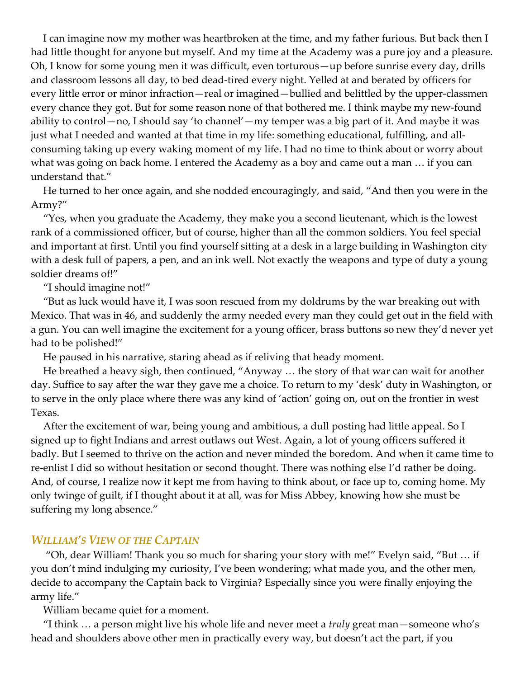I can imagine now my mother was heartbroken at the time, and my father furious. But back then I had little thought for anyone but myself. And my time at the Academy was a pure joy and a pleasure. Oh, I know for some young men it was difficult, even torturous—up before sunrise every day, drills and classroom lessons all day, to bed dead-tired every night. Yelled at and berated by officers for every little error or minor infraction—real or imagined—bullied and belittled by the upper-classmen every chance they got. But for some reason none of that bothered me. I think maybe my new-found ability to control—no, I should say 'to channel'—my temper was a big part of it. And maybe it was just what I needed and wanted at that time in my life: something educational, fulfilling, and allconsuming taking up every waking moment of my life. I had no time to think about or worry about what was going on back home. I entered the Academy as a boy and came out a man … if you can understand that."

He turned to her once again, and she nodded encouragingly, and said, "And then you were in the Army?"

"Yes, when you graduate the Academy, they make you a second lieutenant, which is the lowest rank of a commissioned officer, but of course, higher than all the common soldiers. You feel special and important at first. Until you find yourself sitting at a desk in a large building in Washington city with a desk full of papers, a pen, and an ink well. Not exactly the weapons and type of duty a young soldier dreams of!"

"I should imagine not!"

"But as luck would have it, I was soon rescued from my doldrums by the war breaking out with Mexico. That was in 46, and suddenly the army needed every man they could get out in the field with a gun. You can well imagine the excitement for a young officer, brass buttons so new they'd never yet had to be polished!"

He paused in his narrative, staring ahead as if reliving that heady moment.

He breathed a heavy sigh, then continued, "Anyway … the story of that war can wait for another day. Suffice to say after the war they gave me a choice. To return to my 'desk' duty in Washington, or to serve in the only place where there was any kind of 'action' going on, out on the frontier in west Texas.

After the excitement of war, being young and ambitious, a dull posting had little appeal. So I signed up to fight Indians and arrest outlaws out West. Again, a lot of young officers suffered it badly. But I seemed to thrive on the action and never minded the boredom. And when it came time to re-enlist I did so without hesitation or second thought. There was nothing else I'd rather be doing. And, of course, I realize now it kept me from having to think about, or face up to, coming home. My only twinge of guilt, if I thought about it at all, was for Miss Abbey, knowing how she must be suffering my long absence."

### *WILLIAM'S VIEW OF THE CAPTAIN*

"Oh, dear William! Thank you so much for sharing your story with me!" Evelyn said, "But … if you don't mind indulging my curiosity, I've been wondering; what made you, and the other men, decide to accompany the Captain back to Virginia? Especially since you were finally enjoying the army life."

William became quiet for a moment.

"I think … a person might live his whole life and never meet a *truly* great man—someone who's head and shoulders above other men in practically every way, but doesn't act the part, if you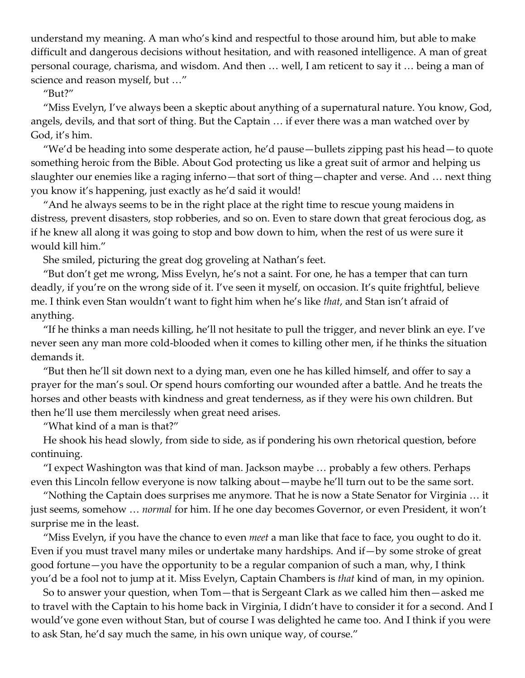understand my meaning. A man who's kind and respectful to those around him, but able to make difficult and dangerous decisions without hesitation, and with reasoned intelligence. A man of great personal courage, charisma, and wisdom. And then … well, I am reticent to say it … being a man of science and reason myself, but …"

"But?"

"Miss Evelyn, I've always been a skeptic about anything of a supernatural nature. You know, God, angels, devils, and that sort of thing. But the Captain … if ever there was a man watched over by God, it's him.

"We'd be heading into some desperate action, he'd pause—bullets zipping past his head—to quote something heroic from the Bible. About God protecting us like a great suit of armor and helping us slaughter our enemies like a raging inferno—that sort of thing—chapter and verse. And … next thing you know it's happening, just exactly as he'd said it would!

"And he always seems to be in the right place at the right time to rescue young maidens in distress, prevent disasters, stop robberies, and so on. Even to stare down that great ferocious dog, as if he knew all along it was going to stop and bow down to him, when the rest of us were sure it would kill him."

She smiled, picturing the great dog groveling at Nathan's feet.

"But don't get me wrong, Miss Evelyn, he's not a saint. For one, he has a temper that can turn deadly, if you're on the wrong side of it. I've seen it myself, on occasion. It's quite frightful, believe me. I think even Stan wouldn't want to fight him when he's like *that*, and Stan isn't afraid of anything.

"If he thinks a man needs killing, he'll not hesitate to pull the trigger, and never blink an eye. I've never seen any man more cold-blooded when it comes to killing other men, if he thinks the situation demands it.

"But then he'll sit down next to a dying man, even one he has killed himself, and offer to say a prayer for the man's soul. Or spend hours comforting our wounded after a battle. And he treats the horses and other beasts with kindness and great tenderness, as if they were his own children. But then he'll use them mercilessly when great need arises.

"What kind of a man is that?"

He shook his head slowly, from side to side, as if pondering his own rhetorical question, before continuing.

"I expect Washington was that kind of man. Jackson maybe … probably a few others. Perhaps even this Lincoln fellow everyone is now talking about—maybe he'll turn out to be the same sort.

"Nothing the Captain does surprises me anymore. That he is now a State Senator for Virginia … it just seems, somehow … *normal* for him. If he one day becomes Governor, or even President, it won't surprise me in the least.

"Miss Evelyn, if you have the chance to even *meet* a man like that face to face, you ought to do it. Even if you must travel many miles or undertake many hardships. And if—by some stroke of great good fortune—you have the opportunity to be a regular companion of such a man, why, I think you'd be a fool not to jump at it. Miss Evelyn, Captain Chambers is *that* kind of man, in my opinion.

So to answer your question, when Tom—that is Sergeant Clark as we called him then—asked me to travel with the Captain to his home back in Virginia, I didn't have to consider it for a second. And I would've gone even without Stan, but of course I was delighted he came too. And I think if you were to ask Stan, he'd say much the same, in his own unique way, of course."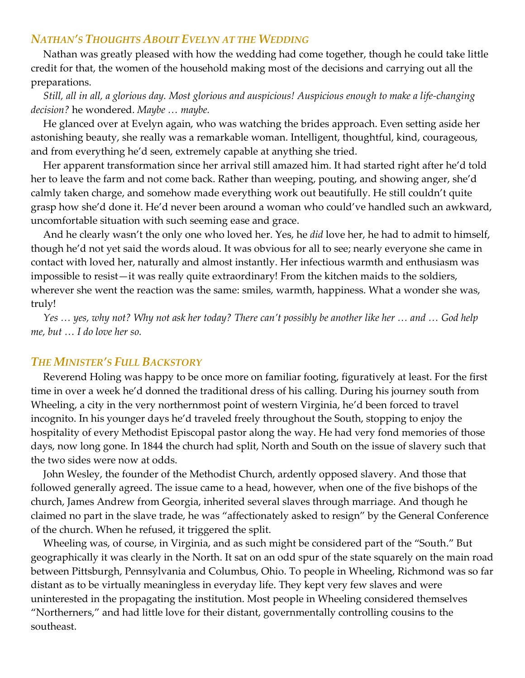## *NATHAN'S THOUGHTS ABOUT EVELYN AT THE WEDDING*

Nathan was greatly pleased with how the wedding had come together, though he could take little credit for that, the women of the household making most of the decisions and carrying out all the preparations.

## *Still, all in all, a glorious day. Most glorious and auspicious! Auspicious enough to make a life-changing decision?* he wondered. *Maybe … maybe.*

He glanced over at Evelyn again, who was watching the brides approach. Even setting aside her astonishing beauty, she really was a remarkable woman. Intelligent, thoughtful, kind, courageous, and from everything he'd seen, extremely capable at anything she tried.

Her apparent transformation since her arrival still amazed him. It had started right after he'd told her to leave the farm and not come back. Rather than weeping, pouting, and showing anger, she'd calmly taken charge, and somehow made everything work out beautifully. He still couldn't quite grasp how she'd done it. He'd never been around a woman who could've handled such an awkward, uncomfortable situation with such seeming ease and grace.

And he clearly wasn't the only one who loved her. Yes, he *did* love her, he had to admit to himself, though he'd not yet said the words aloud. It was obvious for all to see; nearly everyone she came in contact with loved her, naturally and almost instantly. Her infectious warmth and enthusiasm was impossible to resist—it was really quite extraordinary! From the kitchen maids to the soldiers, wherever she went the reaction was the same: smiles, warmth, happiness. What a wonder she was, truly!

*Yes … yes, why not? Why not ask her today? There can't possibly be another like her … and … God help me, but … I do love her so.*

### *THE MINISTER'S FULL BACKSTORY*

Reverend Holing was happy to be once more on familiar footing, figuratively at least. For the first time in over a week he'd donned the traditional dress of his calling. During his journey south from Wheeling, a city in the very northernmost point of western Virginia, he'd been forced to travel incognito. In his younger days he'd traveled freely throughout the South, stopping to enjoy the hospitality of every Methodist Episcopal pastor along the way. He had very fond memories of those days, now long gone. In 1844 the church had split, North and South on the issue of slavery such that the two sides were now at odds.

John Wesley, the founder of the Methodist Church, ardently opposed slavery. And those that followed generally agreed. The issue came to a head, however, when one of the five bishops of the church, James Andrew from Georgia, inherited several slaves through marriage. And though he claimed no part in the slave trade, he was "affectionately asked to resign" by the General Conference of the church. When he refused, it triggered the split.

Wheeling was, of course, in Virginia, and as such might be considered part of the "South." But geographically it was clearly in the North. It sat on an odd spur of the state squarely on the main road between Pittsburgh, Pennsylvania and Columbus, Ohio. To people in Wheeling, Richmond was so far distant as to be virtually meaningless in everyday life. They kept very few slaves and were uninterested in the propagating the institution. Most people in Wheeling considered themselves "Northerners," and had little love for their distant, governmentally controlling cousins to the southeast.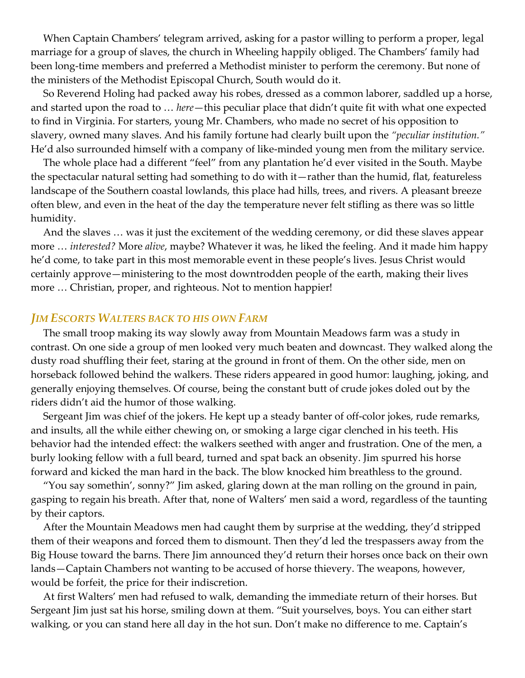When Captain Chambers' telegram arrived, asking for a pastor willing to perform a proper, legal marriage for a group of slaves, the church in Wheeling happily obliged. The Chambers' family had been long-time members and preferred a Methodist minister to perform the ceremony. But none of the ministers of the Methodist Episcopal Church, South would do it.

So Reverend Holing had packed away his robes, dressed as a common laborer, saddled up a horse, and started upon the road to … *here*—this peculiar place that didn't quite fit with what one expected to find in Virginia. For starters, young Mr. Chambers, who made no secret of his opposition to slavery, owned many slaves. And his family fortune had clearly built upon the *"peculiar institution."* He'd also surrounded himself with a company of like-minded young men from the military service.

The whole place had a different "feel" from any plantation he'd ever visited in the South. Maybe the spectacular natural setting had something to do with it—rather than the humid, flat, featureless landscape of the Southern coastal lowlands, this place had hills, trees, and rivers. A pleasant breeze often blew, and even in the heat of the day the temperature never felt stifling as there was so little humidity.

And the slaves … was it just the excitement of the wedding ceremony, or did these slaves appear more … *interested?* More *alive*, maybe? Whatever it was, he liked the feeling. And it made him happy he'd come, to take part in this most memorable event in these people's lives. Jesus Christ would certainly approve—ministering to the most downtrodden people of the earth, making their lives more … Christian, proper, and righteous. Not to mention happier!

#### *JIM ESCORTS WALTERS BACK TO HIS OWN FARM*

The small troop making its way slowly away from Mountain Meadows farm was a study in contrast. On one side a group of men looked very much beaten and downcast. They walked along the dusty road shuffling their feet, staring at the ground in front of them. On the other side, men on horseback followed behind the walkers. These riders appeared in good humor: laughing, joking, and generally enjoying themselves. Of course, being the constant butt of crude jokes doled out by the riders didn't aid the humor of those walking.

Sergeant Jim was chief of the jokers. He kept up a steady banter of off-color jokes, rude remarks, and insults, all the while either chewing on, or smoking a large cigar clenched in his teeth. His behavior had the intended effect: the walkers seethed with anger and frustration. One of the men, a burly looking fellow with a full beard, turned and spat back an obsenity. Jim spurred his horse forward and kicked the man hard in the back. The blow knocked him breathless to the ground.

"You say somethin', sonny?" Jim asked, glaring down at the man rolling on the ground in pain, gasping to regain his breath. After that, none of Walters' men said a word, regardless of the taunting by their captors.

After the Mountain Meadows men had caught them by surprise at the wedding, they'd stripped them of their weapons and forced them to dismount. Then they'd led the trespassers away from the Big House toward the barns. There Jim announced they'd return their horses once back on their own lands—Captain Chambers not wanting to be accused of horse thievery. The weapons, however, would be forfeit, the price for their indiscretion.

At first Walters' men had refused to walk, demanding the immediate return of their horses. But Sergeant Jim just sat his horse, smiling down at them. "Suit yourselves, boys. You can either start walking, or you can stand here all day in the hot sun. Don't make no difference to me. Captain's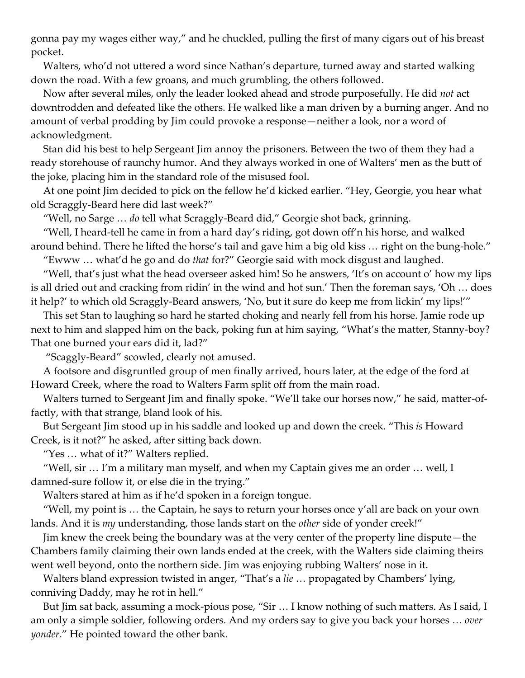gonna pay my wages either way," and he chuckled, pulling the first of many cigars out of his breast pocket.

Walters, who'd not uttered a word since Nathan's departure, turned away and started walking down the road. With a few groans, and much grumbling, the others followed.

Now after several miles, only the leader looked ahead and strode purposefully. He did *not* act downtrodden and defeated like the others. He walked like a man driven by a burning anger. And no amount of verbal prodding by Jim could provoke a response—neither a look, nor a word of acknowledgment.

Stan did his best to help Sergeant Jim annoy the prisoners. Between the two of them they had a ready storehouse of raunchy humor. And they always worked in one of Walters' men as the butt of the joke, placing him in the standard role of the misused fool.

At one point Jim decided to pick on the fellow he'd kicked earlier. "Hey, Georgie, you hear what old Scraggly-Beard here did last week?"

"Well, no Sarge … *do* tell what Scraggly-Beard did," Georgie shot back, grinning.

"Well, I heard-tell he came in from a hard day's riding, got down off'n his horse, and walked around behind. There he lifted the horse's tail and gave him a big old kiss … right on the bung-hole."

"Ewww … what'd he go and do *that* for?" Georgie said with mock disgust and laughed.

"Well, that's just what the head overseer asked him! So he answers, 'It's on account o' how my lips is all dried out and cracking from ridin' in the wind and hot sun.' Then the foreman says, 'Oh … does it help?' to which old Scraggly-Beard answers, 'No, but it sure do keep me from lickin' my lips!'"

This set Stan to laughing so hard he started choking and nearly fell from his horse. Jamie rode up next to him and slapped him on the back, poking fun at him saying, "What's the matter, Stanny-boy? That one burned your ears did it, lad?"

"Scaggly-Beard" scowled, clearly not amused.

A footsore and disgruntled group of men finally arrived, hours later, at the edge of the ford at Howard Creek, where the road to Walters Farm split off from the main road.

Walters turned to Sergeant Jim and finally spoke. "We'll take our horses now," he said, matter-offactly, with that strange, bland look of his.

But Sergeant Jim stood up in his saddle and looked up and down the creek. "This *is* Howard Creek, is it not?" he asked, after sitting back down.

"Yes … what of it?" Walters replied.

"Well, sir … I'm a military man myself, and when my Captain gives me an order … well, I damned-sure follow it, or else die in the trying."

Walters stared at him as if he'd spoken in a foreign tongue.

"Well, my point is  $\ldots$  the Captain, he says to return your horses once y'all are back on your own lands. And it is *my* understanding, those lands start on the *other* side of yonder creek!"

Jim knew the creek being the boundary was at the very center of the property line dispute—the Chambers family claiming their own lands ended at the creek, with the Walters side claiming theirs went well beyond, onto the northern side. Jim was enjoying rubbing Walters' nose in it.

Walters bland expression twisted in anger, "That's a *lie* … propagated by Chambers' lying, conniving Daddy, may he rot in hell."

But Jim sat back, assuming a mock-pious pose, "Sir … I know nothing of such matters. As I said, I am only a simple soldier, following orders. And my orders say to give you back your horses … *over yonder*." He pointed toward the other bank.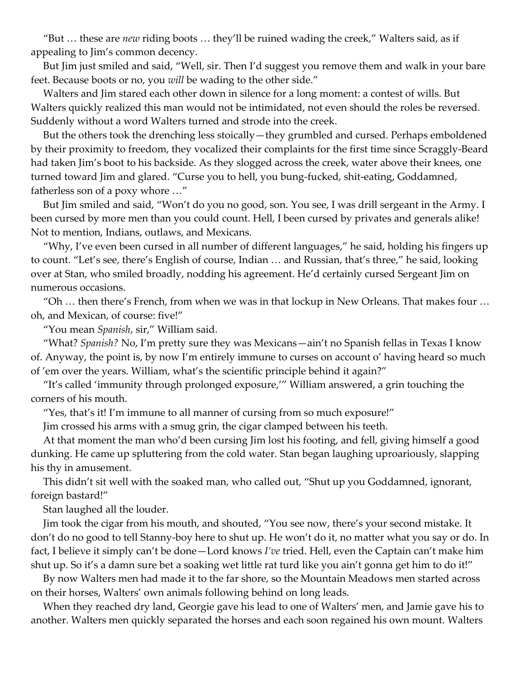"But … these are *new* riding boots … they'll be ruined wading the creek," Walters said, as if appealing to Jim's common decency.

But Jim just smiled and said, "Well, sir. Then I'd suggest you remove them and walk in your bare feet. Because boots or no, you *will* be wading to the other side."

Walters and Jim stared each other down in silence for a long moment: a contest of wills. But Walters quickly realized this man would not be intimidated, not even should the roles be reversed. Suddenly without a word Walters turned and strode into the creek.

But the others took the drenching less stoically—they grumbled and cursed. Perhaps emboldened by their proximity to freedom, they vocalized their complaints for the first time since Scraggly-Beard had taken Jim's boot to his backside. As they slogged across the creek, water above their knees, one turned toward Jim and glared. "Curse you to hell, you bung-fucked, shit-eating, Goddamned, fatherless son of a poxy whore …"

But Jim smiled and said, "Won't do you no good, son. You see, I was drill sergeant in the Army. I been cursed by more men than you could count. Hell, I been cursed by privates and generals alike! Not to mention, Indians, outlaws, and Mexicans.

"Why, I've even been cursed in all number of different languages," he said, holding his fingers up to count. "Let's see, there's English of course, Indian … and Russian, that's three," he said, looking over at Stan, who smiled broadly, nodding his agreement. He'd certainly cursed Sergeant Jim on numerous occasions.

"Oh … then there's French, from when we was in that lockup in New Orleans. That makes four … oh, and Mexican, of course: five!"

"You mean *Spanish*, sir," William said.

"What? *Spanish?* No, I'm pretty sure they was Mexicans—ain't no Spanish fellas in Texas I know of. Anyway, the point is, by now I'm entirely immune to curses on account o' having heard so much of 'em over the years. William, what's the scientific principle behind it again?"

"It's called 'immunity through prolonged exposure,'" William answered, a grin touching the corners of his mouth.

"Yes, that's it! I'm immune to all manner of cursing from so much exposure!"

Jim crossed his arms with a smug grin, the cigar clamped between his teeth.

At that moment the man who'd been cursing Jim lost his footing, and fell, giving himself a good dunking. He came up spluttering from the cold water. Stan began laughing uproariously, slapping his thy in amusement.

This didn't sit well with the soaked man, who called out, "Shut up you Goddamned, ignorant, foreign bastard!"

Stan laughed all the louder.

Jim took the cigar from his mouth, and shouted, "You see now, there's your second mistake. It don't do no good to tell Stanny-boy here to shut up. He won't do it, no matter what you say or do. In fact, I believe it simply can't be done—Lord knows *I've* tried. Hell, even the Captain can't make him shut up. So it's a damn sure bet a soaking wet little rat turd like you ain't gonna get him to do it!"

By now Walters men had made it to the far shore, so the Mountain Meadows men started across on their horses, Walters' own animals following behind on long leads.

When they reached dry land, Georgie gave his lead to one of Walters' men, and Jamie gave his to another. Walters men quickly separated the horses and each soon regained his own mount. Walters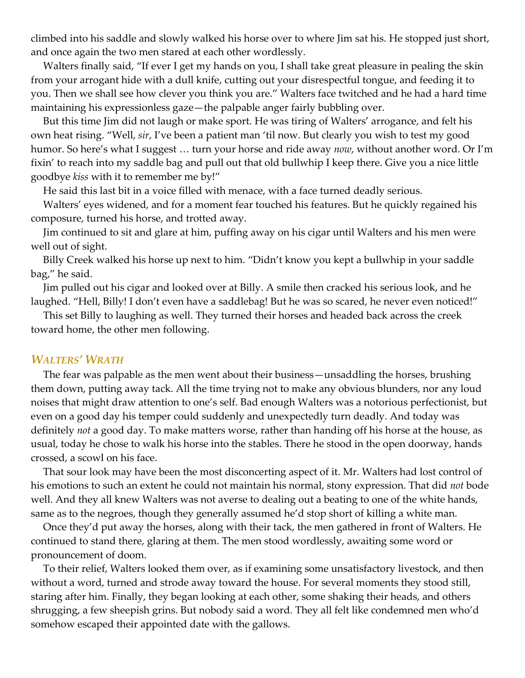climbed into his saddle and slowly walked his horse over to where Jim sat his. He stopped just short, and once again the two men stared at each other wordlessly.

Walters finally said, "If ever I get my hands on you, I shall take great pleasure in pealing the skin from your arrogant hide with a dull knife, cutting out your disrespectful tongue, and feeding it to you. Then we shall see how clever you think you are." Walters face twitched and he had a hard time maintaining his expressionless gaze—the palpable anger fairly bubbling over.

But this time Jim did not laugh or make sport. He was tiring of Walters' arrogance, and felt his own heat rising. "Well, *sir*, I've been a patient man 'til now. But clearly you wish to test my good humor. So here's what I suggest … turn your horse and ride away *now*, without another word. Or I'm fixin' to reach into my saddle bag and pull out that old bullwhip I keep there. Give you a nice little goodbye *kiss* with it to remember me by!"

He said this last bit in a voice filled with menace, with a face turned deadly serious.

Walters' eyes widened, and for a moment fear touched his features. But he quickly regained his composure, turned his horse, and trotted away.

Jim continued to sit and glare at him, puffing away on his cigar until Walters and his men were well out of sight.

Billy Creek walked his horse up next to him. "Didn't know you kept a bullwhip in your saddle bag," he said.

Jim pulled out his cigar and looked over at Billy. A smile then cracked his serious look, and he laughed. "Hell, Billy! I don't even have a saddlebag! But he was so scared, he never even noticed!"

This set Billy to laughing as well. They turned their horses and headed back across the creek toward home, the other men following.

#### *WALTERS' WRATH*

The fear was palpable as the men went about their business—unsaddling the horses, brushing them down, putting away tack. All the time trying not to make any obvious blunders, nor any loud noises that might draw attention to one's self. Bad enough Walters was a notorious perfectionist, but even on a good day his temper could suddenly and unexpectedly turn deadly. And today was definitely *not* a good day. To make matters worse, rather than handing off his horse at the house, as usual, today he chose to walk his horse into the stables. There he stood in the open doorway, hands crossed, a scowl on his face.

That sour look may have been the most disconcerting aspect of it. Mr. Walters had lost control of his emotions to such an extent he could not maintain his normal, stony expression. That did *not* bode well. And they all knew Walters was not averse to dealing out a beating to one of the white hands, same as to the negroes, though they generally assumed he'd stop short of killing a white man.

Once they'd put away the horses, along with their tack, the men gathered in front of Walters. He continued to stand there, glaring at them. The men stood wordlessly, awaiting some word or pronouncement of doom.

To their relief, Walters looked them over, as if examining some unsatisfactory livestock, and then without a word, turned and strode away toward the house. For several moments they stood still, staring after him. Finally, they began looking at each other, some shaking their heads, and others shrugging, a few sheepish grins. But nobody said a word. They all felt like condemned men who'd somehow escaped their appointed date with the gallows.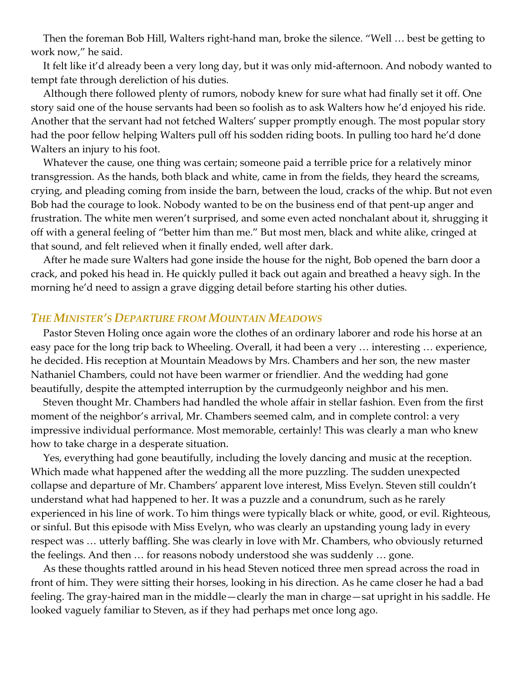Then the foreman Bob Hill, Walters right-hand man, broke the silence. "Well … best be getting to work now," he said.

It felt like it'd already been a very long day, but it was only mid-afternoon. And nobody wanted to tempt fate through dereliction of his duties.

Although there followed plenty of rumors, nobody knew for sure what had finally set it off. One story said one of the house servants had been so foolish as to ask Walters how he'd enjoyed his ride. Another that the servant had not fetched Walters' supper promptly enough. The most popular story had the poor fellow helping Walters pull off his sodden riding boots. In pulling too hard he'd done Walters an injury to his foot.

Whatever the cause, one thing was certain; someone paid a terrible price for a relatively minor transgression. As the hands, both black and white, came in from the fields, they heard the screams, crying, and pleading coming from inside the barn, between the loud, cracks of the whip. But not even Bob had the courage to look. Nobody wanted to be on the business end of that pent-up anger and frustration. The white men weren't surprised, and some even acted nonchalant about it, shrugging it off with a general feeling of "better him than me." But most men, black and white alike, cringed at that sound, and felt relieved when it finally ended, well after dark.

After he made sure Walters had gone inside the house for the night, Bob opened the barn door a crack, and poked his head in. He quickly pulled it back out again and breathed a heavy sigh. In the morning he'd need to assign a grave digging detail before starting his other duties.

#### *THE MINISTER'S DEPARTURE FROM MOUNTAIN MEADOWS*

Pastor Steven Holing once again wore the clothes of an ordinary laborer and rode his horse at an easy pace for the long trip back to Wheeling. Overall, it had been a very … interesting … experience, he decided. His reception at Mountain Meadows by Mrs. Chambers and her son, the new master Nathaniel Chambers, could not have been warmer or friendlier. And the wedding had gone beautifully, despite the attempted interruption by the curmudgeonly neighbor and his men.

Steven thought Mr. Chambers had handled the whole affair in stellar fashion. Even from the first moment of the neighbor's arrival, Mr. Chambers seemed calm, and in complete control: a very impressive individual performance. Most memorable, certainly! This was clearly a man who knew how to take charge in a desperate situation.

Yes, everything had gone beautifully, including the lovely dancing and music at the reception. Which made what happened after the wedding all the more puzzling. The sudden unexpected collapse and departure of Mr. Chambers' apparent love interest, Miss Evelyn. Steven still couldn't understand what had happened to her. It was a puzzle and a conundrum, such as he rarely experienced in his line of work. To him things were typically black or white, good, or evil. Righteous, or sinful. But this episode with Miss Evelyn, who was clearly an upstanding young lady in every respect was … utterly baffling. She was clearly in love with Mr. Chambers, who obviously returned the feelings. And then … for reasons nobody understood she was suddenly … gone.

As these thoughts rattled around in his head Steven noticed three men spread across the road in front of him. They were sitting their horses, looking in his direction. As he came closer he had a bad feeling. The gray-haired man in the middle—clearly the man in charge—sat upright in his saddle. He looked vaguely familiar to Steven, as if they had perhaps met once long ago.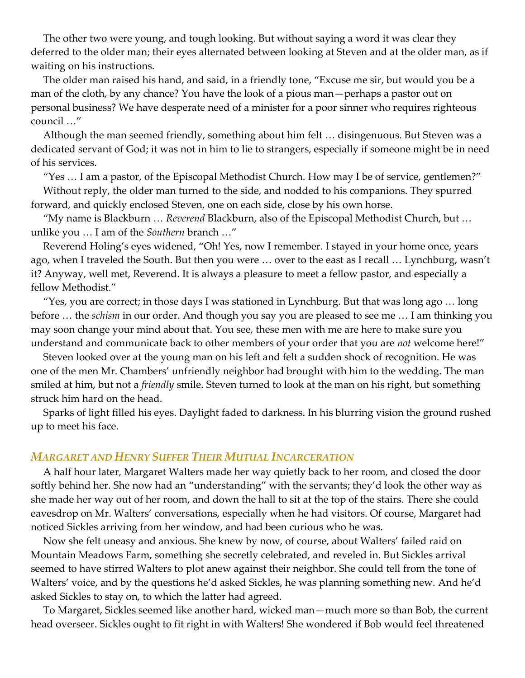The other two were young, and tough looking. But without saying a word it was clear they deferred to the older man; their eyes alternated between looking at Steven and at the older man, as if waiting on his instructions.

The older man raised his hand, and said, in a friendly tone, "Excuse me sir, but would you be a man of the cloth, by any chance? You have the look of a pious man—perhaps a pastor out on personal business? We have desperate need of a minister for a poor sinner who requires righteous council …"

Although the man seemed friendly, something about him felt … disingenuous. But Steven was a dedicated servant of God; it was not in him to lie to strangers, especially if someone might be in need of his services.

"Yes … I am a pastor, of the Episcopal Methodist Church. How may I be of service, gentlemen?" Without reply, the older man turned to the side, and nodded to his companions. They spurred forward, and quickly enclosed Steven, one on each side, close by his own horse.

"My name is Blackburn … *Reverend* Blackburn, also of the Episcopal Methodist Church, but … unlike you … I am of the *Southern* branch …"

Reverend Holing's eyes widened, "Oh! Yes, now I remember. I stayed in your home once, years ago, when I traveled the South. But then you were … over to the east as I recall … Lynchburg, wasn't it? Anyway, well met, Reverend. It is always a pleasure to meet a fellow pastor, and especially a fellow Methodist."

"Yes, you are correct; in those days I was stationed in Lynchburg. But that was long ago … long before … the *schism* in our order. And though you say you are pleased to see me … I am thinking you may soon change your mind about that. You see, these men with me are here to make sure you understand and communicate back to other members of your order that you are *not* welcome here!"

Steven looked over at the young man on his left and felt a sudden shock of recognition. He was one of the men Mr. Chambers' unfriendly neighbor had brought with him to the wedding. The man smiled at him, but not a *friendly* smile. Steven turned to look at the man on his right, but something struck him hard on the head.

Sparks of light filled his eyes. Daylight faded to darkness. In his blurring vision the ground rushed up to meet his face.

# *MARGARET AND HENRY SUFFER THEIR MUTUAL INCARCERATION*

A half hour later, Margaret Walters made her way quietly back to her room, and closed the door softly behind her. She now had an "understanding" with the servants; they'd look the other way as she made her way out of her room, and down the hall to sit at the top of the stairs. There she could eavesdrop on Mr. Walters' conversations, especially when he had visitors. Of course, Margaret had noticed Sickles arriving from her window, and had been curious who he was.

Now she felt uneasy and anxious. She knew by now, of course, about Walters' failed raid on Mountain Meadows Farm, something she secretly celebrated, and reveled in. But Sickles arrival seemed to have stirred Walters to plot anew against their neighbor. She could tell from the tone of Walters' voice, and by the questions he'd asked Sickles, he was planning something new. And he'd asked Sickles to stay on, to which the latter had agreed.

To Margaret, Sickles seemed like another hard, wicked man—much more so than Bob, the current head overseer. Sickles ought to fit right in with Walters! She wondered if Bob would feel threatened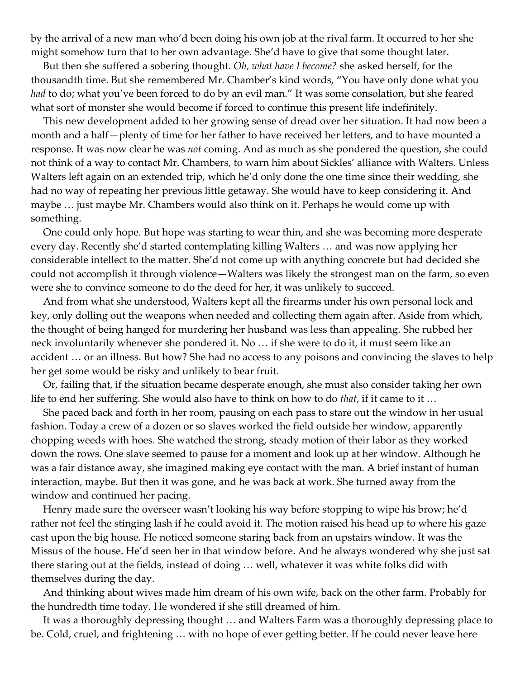by the arrival of a new man who'd been doing his own job at the rival farm. It occurred to her she might somehow turn that to her own advantage. She'd have to give that some thought later.

But then she suffered a sobering thought. *Oh, what have I become?* she asked herself, for the thousandth time. But she remembered Mr. Chamber's kind words, "You have only done what you *had* to do; what you've been forced to do by an evil man." It was some consolation, but she feared what sort of monster she would become if forced to continue this present life indefinitely.

This new development added to her growing sense of dread over her situation. It had now been a month and a half—plenty of time for her father to have received her letters, and to have mounted a response. It was now clear he was *not* coming. And as much as she pondered the question, she could not think of a way to contact Mr. Chambers, to warn him about Sickles' alliance with Walters. Unless Walters left again on an extended trip, which he'd only done the one time since their wedding, she had no way of repeating her previous little getaway. She would have to keep considering it. And maybe … just maybe Mr. Chambers would also think on it. Perhaps he would come up with something.

One could only hope. But hope was starting to wear thin, and she was becoming more desperate every day. Recently she'd started contemplating killing Walters … and was now applying her considerable intellect to the matter. She'd not come up with anything concrete but had decided she could not accomplish it through violence—Walters was likely the strongest man on the farm, so even were she to convince someone to do the deed for her, it was unlikely to succeed.

And from what she understood, Walters kept all the firearms under his own personal lock and key, only dolling out the weapons when needed and collecting them again after. Aside from which, the thought of being hanged for murdering her husband was less than appealing. She rubbed her neck involuntarily whenever she pondered it. No … if she were to do it, it must seem like an accident … or an illness. But how? She had no access to any poisons and convincing the slaves to help her get some would be risky and unlikely to bear fruit.

Or, failing that, if the situation became desperate enough, she must also consider taking her own life to end her suffering. She would also have to think on how to do *that*, if it came to it …

She paced back and forth in her room, pausing on each pass to stare out the window in her usual fashion. Today a crew of a dozen or so slaves worked the field outside her window, apparently chopping weeds with hoes. She watched the strong, steady motion of their labor as they worked down the rows. One slave seemed to pause for a moment and look up at her window. Although he was a fair distance away, she imagined making eye contact with the man. A brief instant of human interaction, maybe. But then it was gone, and he was back at work. She turned away from the window and continued her pacing.

Henry made sure the overseer wasn't looking his way before stopping to wipe his brow; he'd rather not feel the stinging lash if he could avoid it. The motion raised his head up to where his gaze cast upon the big house. He noticed someone staring back from an upstairs window. It was the Missus of the house. He'd seen her in that window before. And he always wondered why she just sat there staring out at the fields, instead of doing … well, whatever it was white folks did with themselves during the day.

And thinking about wives made him dream of his own wife, back on the other farm. Probably for the hundredth time today. He wondered if she still dreamed of him.

It was a thoroughly depressing thought … and Walters Farm was a thoroughly depressing place to be. Cold, cruel, and frightening … with no hope of ever getting better. If he could never leave here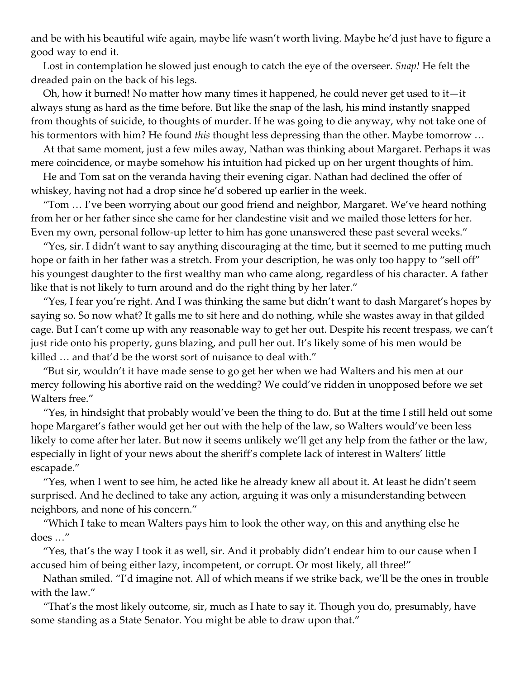and be with his beautiful wife again, maybe life wasn't worth living. Maybe he'd just have to figure a good way to end it.

Lost in contemplation he slowed just enough to catch the eye of the overseer. *Snap!* He felt the dreaded pain on the back of his legs.

Oh, how it burned! No matter how many times it happened, he could never get used to it—it always stung as hard as the time before. But like the snap of the lash, his mind instantly snapped from thoughts of suicide, to thoughts of murder. If he was going to die anyway, why not take one of his tormentors with him? He found *this* thought less depressing than the other. Maybe tomorrow …

At that same moment, just a few miles away, Nathan was thinking about Margaret. Perhaps it was mere coincidence, or maybe somehow his intuition had picked up on her urgent thoughts of him.

He and Tom sat on the veranda having their evening cigar. Nathan had declined the offer of whiskey, having not had a drop since he'd sobered up earlier in the week.

"Tom … I've been worrying about our good friend and neighbor, Margaret. We've heard nothing from her or her father since she came for her clandestine visit and we mailed those letters for her. Even my own, personal follow-up letter to him has gone unanswered these past several weeks."

"Yes, sir. I didn't want to say anything discouraging at the time, but it seemed to me putting much hope or faith in her father was a stretch. From your description, he was only too happy to "sell off" his youngest daughter to the first wealthy man who came along, regardless of his character. A father like that is not likely to turn around and do the right thing by her later."

"Yes, I fear you're right. And I was thinking the same but didn't want to dash Margaret's hopes by saying so. So now what? It galls me to sit here and do nothing, while she wastes away in that gilded cage. But I can't come up with any reasonable way to get her out. Despite his recent trespass, we can't just ride onto his property, guns blazing, and pull her out. It's likely some of his men would be killed … and that'd be the worst sort of nuisance to deal with."

"But sir, wouldn't it have made sense to go get her when we had Walters and his men at our mercy following his abortive raid on the wedding? We could've ridden in unopposed before we set Walters free."

"Yes, in hindsight that probably would've been the thing to do. But at the time I still held out some hope Margaret's father would get her out with the help of the law, so Walters would've been less likely to come after her later. But now it seems unlikely we'll get any help from the father or the law, especially in light of your news about the sheriff's complete lack of interest in Walters' little escapade."

"Yes, when I went to see him, he acted like he already knew all about it. At least he didn't seem surprised. And he declined to take any action, arguing it was only a misunderstanding between neighbors, and none of his concern."

"Which I take to mean Walters pays him to look the other way, on this and anything else he does …"

"Yes, that's the way I took it as well, sir. And it probably didn't endear him to our cause when I accused him of being either lazy, incompetent, or corrupt. Or most likely, all three!"

Nathan smiled. "I'd imagine not. All of which means if we strike back, we'll be the ones in trouble with the law."

"That's the most likely outcome, sir, much as I hate to say it. Though you do, presumably, have some standing as a State Senator. You might be able to draw upon that."